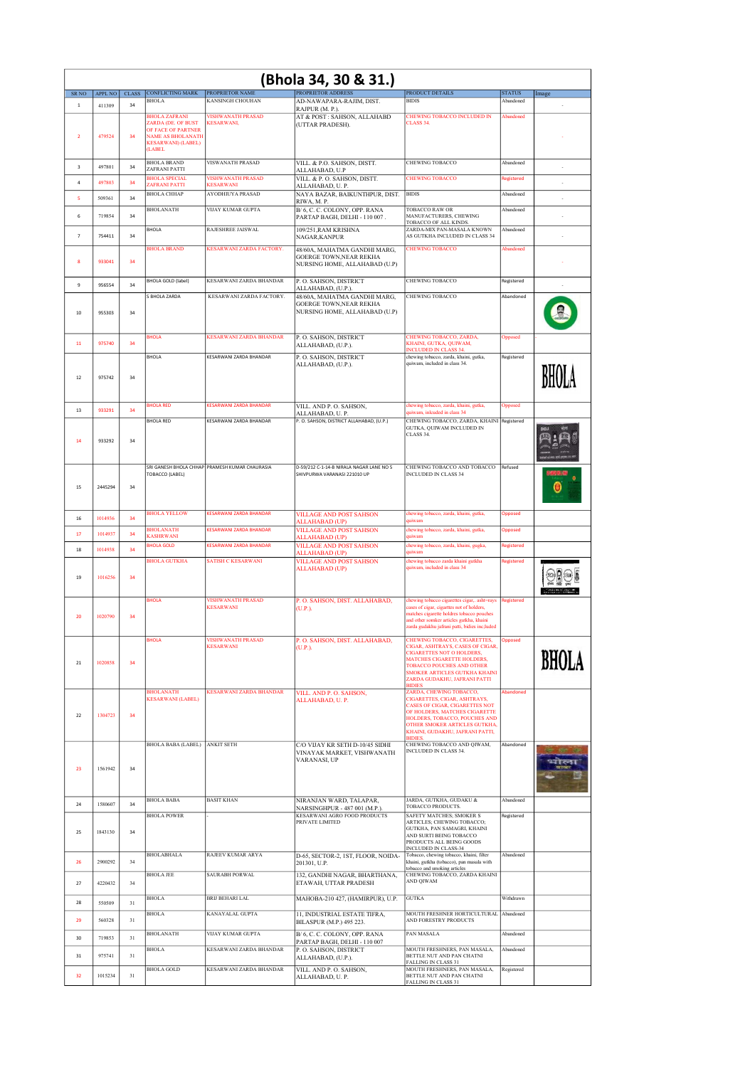| PROPRIETOR ADDRESS<br><b>CONFLICTING MARK</b><br><b>PROPRIETOR NAME</b><br><b>PRODUCT DETAILS</b><br><b>STATUS</b><br>${\rm SR~NO}$<br>APPL NO<br><b>CLASS</b><br>Image<br>AD-NAWAPARA-RAJIM, DIST.<br><b>BIDIS</b><br><b>BHOLA</b><br><b>KANSINGH CHOUHAN</b><br>Abandoned<br>411309<br>34<br>$\mathbf{1}$<br>RAJPUR (M. P.).<br><b>BHOLA ZAFRANI</b><br><b>VISHWANATH PRASAD</b><br>AT & POST: SAHSON, ALLAHABD<br>CHEWING TOBACCO INCLUDED IN<br>Abandoned<br>ZARDA (DE. OF BUST<br><b>KESARWANI,</b><br><b>CLASS 34</b><br>(UTTAR PRADESH).<br>OF FACE OF PARTNER<br>479524<br><b>NAME AS BHOLANATH</b><br>$\overline{2}$<br>34<br><b>KESARWANI</b> ) (LABEL)<br><b>(LABEL)</b><br><b>BHOLA BRAND</b><br><b>VISWANATH PRASAD</b><br>CHEWING TOBACCO<br>VILL. & P.O. SAHSON, DISTT.<br>Abandoned<br>497801<br>$\overline{\mathbf{3}}$<br>34<br>ZAFRANI PATTI<br>ALLAHABAD, U.P<br><b>BHOLA SPECIAL</b><br><b>VISHWANATH PRASAD</b><br><b>CHEWING TOBACCO</b><br>VILL. & P. O. SAHSON, DISTT.<br>Registered<br>$\overline{4}$<br>497803<br>34<br><b>ZAFRANI PATTI</b><br><b>KESARWANI</b><br>ALLAHABAD, U.P.<br><b>BHOLA CHHAP</b><br><b>AYODHIUYA PRASAD</b><br><b>BIDIS</b><br>NAYA BAZAR, BAIKUNTHPUR, DIST.<br>Abandoned<br>5<br>509361<br>34<br>$\overline{\phantom{a}}$<br>RIWA, M. P.<br><b>BHOLANATH</b><br><b>VIJAY KUMAR GUPTA</b><br>B/6, C.C. COLONY, OPP. RANA<br>TOBACCO RAW OR<br>Abandoned<br>719854<br>MANUFACTURERS, CHEWING<br>34<br>6<br>PARTAP BAGH, DELHI - 110 007.<br>TOBACCO OF ALL KINDS.<br>BHOLA<br>RAJESHREE JAISWAL<br>ZARDA-MIX PAN-MASALA KNOWN<br>109/251, RAM KRISHNA<br>Abandoned<br>$\overline{7}$<br>754411<br>34<br>AS GUTKHA INCLUDED IN CLASS 34<br>NAGAR, KANPUR<br><b>BHOLA BRAND</b><br>KESARWANI ZARDA FACTORY.<br>48/60A, MAHATMA GANDHI MARG,<br>CHEWING TOBACCO<br>Ahandoned<br><b>GOERGE TOWN, NEAR REKHA</b><br>8<br>933041<br>34<br>NURSING HOME, ALLAHABAD (U.P)<br>KESARWANI ZARDA BHANDAR<br>CHEWING TOBACCO<br><b>BHOLA GOLD (label)</b><br>P. O. SAHSON, DISTRICT<br>Registered<br>956554<br>9<br>34<br>ALLAHABAD, (U.P.).<br>S BHOLA ZARDA<br>KESARWANI ZARDA FACTORY.<br>CHEWING TOBACCO<br>Abandoned<br>48/60A, MAHATMA GANDHI MARG,<br><b>GOERGE TOWN, NEAR REKHA</b><br>NURSING HOME, ALLAHABAD (U.P)<br>10<br>955303<br>34<br><b>KESARWANI ZARDA BHANDAR</b><br>P. O. SAHSON, DISTRICT<br>CHEWING TOBACCO, ZARDA,<br><b>BHOLA</b><br>Opposed<br>KHAINI, GUTKA, OUIWAM,<br>975740<br>34<br>11<br>ALLAHABAD, (U.P.).<br><b>INCLUDED IN CLASS 34.</b><br><b>BHOLA</b><br>KESARWANI ZARDA BHANDAR<br>P. O. SAHSON, DISTRICT<br>chewing tobacco, zarda, khaini, gutka,<br>Registered<br>quiwam, included in class 34.<br>ALLAHABAD, (U.P.).<br>975742<br>34<br>12<br><b>BHOLA RED</b><br><b>KESARWANI ZARDA BHANDAR</b><br>VILL. AND P. O. SAHSON,<br>chewing tobacco, zarda, khaini, gutka,<br><b>Opposed</b><br>933291<br>34<br>13<br>quiwam, inleuded in class 34<br>ALLAHABAD, U.P.<br>CHEWING TOBACCO, ZARDA, KHAINI Registered<br><b>BHOLA RED</b><br>KESARWANI ZARDA BHANDAR<br>P. O. SAHSON, DISTRICT ALLAHABAD, (U.P.)<br>GUTKA, QUIWAM INCLUDED IN<br>CLASS 34.<br>14<br>933292<br>34<br>CHEWING TOBACCO AND TOBACCO Refused<br>SRI GANESH BHOLA CHHAP PRAMESH KUMAR CHAURASIA<br>D-59/212 C-1-14-B NIRALA NAGAR LANE NO 5<br>SHIVPURWA VARANASI 221010 UP<br><b>INCLUDED IN CLASS 34</b><br>TOBACCO (LABEL)<br>15<br>2445294<br>34<br><b>BHOLA YELLOW</b><br><b>VILLAGE AND POST SAHSON</b><br>KESARWANI ZARDA BHANDAR<br>chewing tobacco, zarda, khaini, gutka,<br><b>Opposed</b><br>1014936<br>34<br>16<br>auiwam<br><b>ALLAHABAD (UP)</b><br><b>BHOLANATH</b><br><b>VILLAGE AND POST SAHSON</b><br><b>KESARWANI ZARDA BHANDAR</b><br>chewing tobacco, zarda, khaini, gutka,<br><b>Opposed</b><br>1014937<br>34<br>17<br><b>KASHRWANI</b><br>quiwam<br><b>ALLAHABAD (UP)</b><br><b>BHOLA GOLD</b><br><b>KESARWANI ZARDA BHANDAR</b><br><b>VILLAGE AND POST SAHSON</b><br>chewing tobacco, zarda, khaini, gugka,<br>Registered<br>1014938<br>18<br>34<br>quiwam<br><b>ALLAHABAD (UP)</b><br><b>BHOLA GUTKHA</b><br><b>SATISH C KESARWANI</b><br><b>VILLAGE AND POST SAHSON</b><br>chewing tobacco zarda khaini gutkha<br>Registered<br>quiwam, included in class 34<br><b>ALLAHABAD (UP)</b><br>1016256<br>19<br>34<br><b>VISHWANATH PRASAD</b><br><b>BHOLA</b><br>P. O. SAHSON, DIST. ALLAHABAD,<br>chewing tobacco cigarettes cigar,. asht=rays<br><b>Registered</b><br><b>KESARWANI</b><br>cases of cigar, cigarttes not of holders,<br>(U.P.).<br>matches eigarette holdres tobacco pouches<br>20<br>1020790<br>34<br>and other somker articles gutkha, khaini<br>zarda gudakhu jafrani patti, bidies inc;luded<br><b>VISHWANATH PRASAD</b><br>CHEWING TOBACCO, CIGARETTES,<br><b>BHOLA</b><br>P. O. SAHSON, DIST. ALLAHABAD,<br><b>Opposed</b><br><b>KESARWANI</b><br>CIGAR, ASHTRAYS, CASES OF CIGAR,<br>(U.P.).<br><b>CIGARETTES NOT O HOLDERS,</b><br>MATCHES CIGARETTE HOLDERS,<br>1020858<br>21<br>34<br>TOBACCO POUCHES AND OTHER<br><b>SMOKER ARTICLES GUTKHA KHAINI</b><br>ZARDA GUDAKHU, JAFRANI PATTI<br><b>BIDIES</b><br><b>BHOLANATH</b><br><b>KESARWANI ZARDA BHANDAR</b><br>VILL. AND P. O. SAHSON,<br>ZARDA, CHEWING TOBACCO,<br>Abandoned<br><b>KESARWANI (LABEL)</b><br>CIGARETTES, CIGAR, ASHTRAYS,<br>ALLAHABAD, U.P.<br>CASES OF CIGAR, CIGARETTES NOT<br>OF HOLDERS, MATCHES CIGARETTE<br>22<br>1304723<br>34<br><b>HOLDERS, TOBACCO, POUCHES AND</b><br>OTHER SMOKER ARTICLES GUTKHA,<br>KHAINI, GUDAKHU, JAFRANI PATTI,<br><b>RIDIES</b><br>CHEWING TOBACCO AND OIWAM.<br>BHOLA BABA (LABEL) ANKIT SETH<br>C/O VIJAY KR SETH D-10/45 SIDHI<br>Abandoned<br>INCLUDED IN CLASS 34.<br>VINAYAK MARKET, VISHWANATH<br>VARANASI, UP<br>1561942<br>23<br>34<br>JARDA, GUTKHA, GUDAKU &<br><b>BHOLA BABA</b><br><b>BASIT KHAN</b><br>Abandoned<br>NIRANJAN WARD, TALAPAR,<br>1580607<br>24<br>34<br>TOBACCO PRODUCTS.<br>NARSINGHPUR - 487 001 (M.P.).<br><b>SAFETY MATCHES; SMOKER S</b><br>KESARWANI AGRO FOOD PRODUCTS<br><b>BHOLA POWER</b><br>Registered<br>PRIVATE LIMITED<br>ARTICLES; CHEWING TOBACCO;<br>GUTKHA, PAN SAMAGRI, KHAINI<br>1843130<br>25<br>34<br>AND SURTI BEING TOBACCO<br>PRODUCTS ALL BEING GOODS<br>INCLUDED IN CLASS-34<br><b>BHOLABHALA</b><br>RAJEEV KUMAR ARYA<br>D-65, SECTOR-2, 1ST, FLOOR, NOIDA-<br>Tobacco, chewing tobacco, khaini, filter<br>Abandoned<br>2900292<br>26<br>34<br>khaini, gutkha (tobacco), pan masala with<br>201301, U.P.<br>tobacco and smoking articles<br><b>BHOLA JEE</b><br><b>SAURABH PORWAL</b><br>132, GANDHI NAGAR, BHARTHANA,<br>CHEWING TOBACCO, ZARDA KHAINI<br>AND QIWAM<br>ETAWAH, UTTAR PRADESH<br>4220432<br>34<br>27<br><b>BRIJ BEHARI LAL</b><br><b>BHOLA</b><br><b>GUTKA</b><br>Withdrawn<br>MAHOBA-210 427, (HAMIRPUR), U.P.<br>28<br>550509<br>31<br>MOUTH FRESHNER HORTICULTURAL<br><b>BHOLA</b><br>KANAYALAL GUPTA<br>Abandoned<br>11, INDUSTRIAL ESTATE TIFRA,<br>AND FORESTRY PRODUCTS<br>29<br>560328<br>31<br>BILASPUR (M.P.) 495 223.<br><b>BHOLANATH</b><br>VIJAY KUMAR GUPTA<br>B/6, C.C. COLONY, OPP. RANA<br>PAN MASALA<br>Abandoned<br>719853<br>31<br>30<br>PARTAP BAGH, DELHI - 110 007<br><b>BHOLA</b><br>KESARWANI ZARDA BHANDAR<br>P. O. SAHSON, DISTRICT<br>MOUTH FRESHNERS, PAN MASALA,<br>Abandoned<br>975741<br>31<br>BETTLE NUT AND PAN CHATNI<br>31<br>ALLAHABAD, (U.P.).<br>FALLING IN CLASS 31<br><b>KESARWANI ZARDA BHANDAR</b><br><b>BHOLA GOLD</b><br>MOUTH FRESHNERS, PAN MASALA,<br>Registered<br>VILL. AND P. O. SAHSON,<br>1015234<br>BETTLE NUT AND PAN CHATNI<br>32<br>31<br>ALLAHABAD, U.P. | (Bhola 34, 30 & 31.) |  |  |  |  |  |                     |  |  |
|-------------------------------------------------------------------------------------------------------------------------------------------------------------------------------------------------------------------------------------------------------------------------------------------------------------------------------------------------------------------------------------------------------------------------------------------------------------------------------------------------------------------------------------------------------------------------------------------------------------------------------------------------------------------------------------------------------------------------------------------------------------------------------------------------------------------------------------------------------------------------------------------------------------------------------------------------------------------------------------------------------------------------------------------------------------------------------------------------------------------------------------------------------------------------------------------------------------------------------------------------------------------------------------------------------------------------------------------------------------------------------------------------------------------------------------------------------------------------------------------------------------------------------------------------------------------------------------------------------------------------------------------------------------------------------------------------------------------------------------------------------------------------------------------------------------------------------------------------------------------------------------------------------------------------------------------------------------------------------------------------------------------------------------------------------------------------------------------------------------------------------------------------------------------------------------------------------------------------------------------------------------------------------------------------------------------------------------------------------------------------------------------------------------------------------------------------------------------------------------------------------------------------------------------------------------------------------------------------------------------------------------------------------------------------------------------------------------------------------------------------------------------------------------------------------------------------------------------------------------------------------------------------------------------------------------------------------------------------------------------------------------------------------------------------------------------------------------------------------------------------------------------------------------------------------------------------------------------------------------------------------------------------------------------------------------------------------------------------------------------------------------------------------------------------------------------------------------------------------------------------------------------------------------------------------------------------------------------------------------------------------------------------------------------------------------------------------------------------------------------------------------------------------------------------------------------------------------------------------------------------------------------------------------------------------------------------------------------------------------------------------------------------------------------------------------------------------------------------------------------------------------------------------------------------------------------------------------------------------------------------------------------------------------------------------------------------------------------------------------------------------------------------------------------------------------------------------------------------------------------------------------------------------------------------------------------------------------------------------------------------------------------------------------------------------------------------------------------------------------------------------------------------------------------------------------------------------------------------------------------------------------------------------------------------------------------------------------------------------------------------------------------------------------------------------------------------------------------------------------------------------------------------------------------------------------------------------------------------------------------------------------------------------------------------------------------------------------------------------------------------------------------------------------------------------------------------------------------------------------------------------------------------------------------------------------------------------------------------------------------------------------------------------------------------------------------------------------------------------------------------------------------------------------------------------------------------------------------------------------------------------------------------------------------------------------------------------------------------------------------------------------------------------------------------------------------------------------------------------------------------------------------------------------------------------------------------------------------------------------------------------------------------------------------------------------------------------------------------------------------------------------------------------------------------------------------------------------------------------------------------------------------------------------------------------------------------------------------------------------------------------------------------------------------------------------------------------------------------------------------------------------------------------------------------------------------------------------------------------------------------------------------------------------------------------------------------------------------------------------------------------------------------------------------------------------------------------------------------------------------------------------------------------------------------------------------------------------------------------------------------------------------------------------------------------------------------------------------------------------------------------------------------------------------------------------------------------------------------------------------------------------------------------------------------------------------------------------------------------|----------------------|--|--|--|--|--|---------------------|--|--|
|                                                                                                                                                                                                                                                                                                                                                                                                                                                                                                                                                                                                                                                                                                                                                                                                                                                                                                                                                                                                                                                                                                                                                                                                                                                                                                                                                                                                                                                                                                                                                                                                                                                                                                                                                                                                                                                                                                                                                                                                                                                                                                                                                                                                                                                                                                                                                                                                                                                                                                                                                                                                                                                                                                                                                                                                                                                                                                                                                                                                                                                                                                                                                                                                                                                                                                                                                                                                                                                                                                                                                                                                                                                                                                                                                                                                                                                                                                                                                                                                                                                                                                                                                                                                                                                                                                                                                                                                                                                                                                                                                                                                                                                                                                                                                                                                                                                                                                                                                                                                                                                                                                                                                                                                                                                                                                                                                                                                                                                                                                                                                                                                                                                                                                                                                                                                                                                                                                                                                                                                                                                                                                                                                                                                                                                                                                                                                                                                                                                                                                                                                                                                                                                                                                                                                                                                                                                                                                                                                                                                                                                                                                                                                                                                                                                                                                                                                                                                                                                                                                                                                                                                       |                      |  |  |  |  |  |                     |  |  |
|                                                                                                                                                                                                                                                                                                                                                                                                                                                                                                                                                                                                                                                                                                                                                                                                                                                                                                                                                                                                                                                                                                                                                                                                                                                                                                                                                                                                                                                                                                                                                                                                                                                                                                                                                                                                                                                                                                                                                                                                                                                                                                                                                                                                                                                                                                                                                                                                                                                                                                                                                                                                                                                                                                                                                                                                                                                                                                                                                                                                                                                                                                                                                                                                                                                                                                                                                                                                                                                                                                                                                                                                                                                                                                                                                                                                                                                                                                                                                                                                                                                                                                                                                                                                                                                                                                                                                                                                                                                                                                                                                                                                                                                                                                                                                                                                                                                                                                                                                                                                                                                                                                                                                                                                                                                                                                                                                                                                                                                                                                                                                                                                                                                                                                                                                                                                                                                                                                                                                                                                                                                                                                                                                                                                                                                                                                                                                                                                                                                                                                                                                                                                                                                                                                                                                                                                                                                                                                                                                                                                                                                                                                                                                                                                                                                                                                                                                                                                                                                                                                                                                                                                       |                      |  |  |  |  |  |                     |  |  |
|                                                                                                                                                                                                                                                                                                                                                                                                                                                                                                                                                                                                                                                                                                                                                                                                                                                                                                                                                                                                                                                                                                                                                                                                                                                                                                                                                                                                                                                                                                                                                                                                                                                                                                                                                                                                                                                                                                                                                                                                                                                                                                                                                                                                                                                                                                                                                                                                                                                                                                                                                                                                                                                                                                                                                                                                                                                                                                                                                                                                                                                                                                                                                                                                                                                                                                                                                                                                                                                                                                                                                                                                                                                                                                                                                                                                                                                                                                                                                                                                                                                                                                                                                                                                                                                                                                                                                                                                                                                                                                                                                                                                                                                                                                                                                                                                                                                                                                                                                                                                                                                                                                                                                                                                                                                                                                                                                                                                                                                                                                                                                                                                                                                                                                                                                                                                                                                                                                                                                                                                                                                                                                                                                                                                                                                                                                                                                                                                                                                                                                                                                                                                                                                                                                                                                                                                                                                                                                                                                                                                                                                                                                                                                                                                                                                                                                                                                                                                                                                                                                                                                                                                       |                      |  |  |  |  |  |                     |  |  |
|                                                                                                                                                                                                                                                                                                                                                                                                                                                                                                                                                                                                                                                                                                                                                                                                                                                                                                                                                                                                                                                                                                                                                                                                                                                                                                                                                                                                                                                                                                                                                                                                                                                                                                                                                                                                                                                                                                                                                                                                                                                                                                                                                                                                                                                                                                                                                                                                                                                                                                                                                                                                                                                                                                                                                                                                                                                                                                                                                                                                                                                                                                                                                                                                                                                                                                                                                                                                                                                                                                                                                                                                                                                                                                                                                                                                                                                                                                                                                                                                                                                                                                                                                                                                                                                                                                                                                                                                                                                                                                                                                                                                                                                                                                                                                                                                                                                                                                                                                                                                                                                                                                                                                                                                                                                                                                                                                                                                                                                                                                                                                                                                                                                                                                                                                                                                                                                                                                                                                                                                                                                                                                                                                                                                                                                                                                                                                                                                                                                                                                                                                                                                                                                                                                                                                                                                                                                                                                                                                                                                                                                                                                                                                                                                                                                                                                                                                                                                                                                                                                                                                                                                       |                      |  |  |  |  |  |                     |  |  |
|                                                                                                                                                                                                                                                                                                                                                                                                                                                                                                                                                                                                                                                                                                                                                                                                                                                                                                                                                                                                                                                                                                                                                                                                                                                                                                                                                                                                                                                                                                                                                                                                                                                                                                                                                                                                                                                                                                                                                                                                                                                                                                                                                                                                                                                                                                                                                                                                                                                                                                                                                                                                                                                                                                                                                                                                                                                                                                                                                                                                                                                                                                                                                                                                                                                                                                                                                                                                                                                                                                                                                                                                                                                                                                                                                                                                                                                                                                                                                                                                                                                                                                                                                                                                                                                                                                                                                                                                                                                                                                                                                                                                                                                                                                                                                                                                                                                                                                                                                                                                                                                                                                                                                                                                                                                                                                                                                                                                                                                                                                                                                                                                                                                                                                                                                                                                                                                                                                                                                                                                                                                                                                                                                                                                                                                                                                                                                                                                                                                                                                                                                                                                                                                                                                                                                                                                                                                                                                                                                                                                                                                                                                                                                                                                                                                                                                                                                                                                                                                                                                                                                                                                       |                      |  |  |  |  |  |                     |  |  |
|                                                                                                                                                                                                                                                                                                                                                                                                                                                                                                                                                                                                                                                                                                                                                                                                                                                                                                                                                                                                                                                                                                                                                                                                                                                                                                                                                                                                                                                                                                                                                                                                                                                                                                                                                                                                                                                                                                                                                                                                                                                                                                                                                                                                                                                                                                                                                                                                                                                                                                                                                                                                                                                                                                                                                                                                                                                                                                                                                                                                                                                                                                                                                                                                                                                                                                                                                                                                                                                                                                                                                                                                                                                                                                                                                                                                                                                                                                                                                                                                                                                                                                                                                                                                                                                                                                                                                                                                                                                                                                                                                                                                                                                                                                                                                                                                                                                                                                                                                                                                                                                                                                                                                                                                                                                                                                                                                                                                                                                                                                                                                                                                                                                                                                                                                                                                                                                                                                                                                                                                                                                                                                                                                                                                                                                                                                                                                                                                                                                                                                                                                                                                                                                                                                                                                                                                                                                                                                                                                                                                                                                                                                                                                                                                                                                                                                                                                                                                                                                                                                                                                                                                       |                      |  |  |  |  |  |                     |  |  |
|                                                                                                                                                                                                                                                                                                                                                                                                                                                                                                                                                                                                                                                                                                                                                                                                                                                                                                                                                                                                                                                                                                                                                                                                                                                                                                                                                                                                                                                                                                                                                                                                                                                                                                                                                                                                                                                                                                                                                                                                                                                                                                                                                                                                                                                                                                                                                                                                                                                                                                                                                                                                                                                                                                                                                                                                                                                                                                                                                                                                                                                                                                                                                                                                                                                                                                                                                                                                                                                                                                                                                                                                                                                                                                                                                                                                                                                                                                                                                                                                                                                                                                                                                                                                                                                                                                                                                                                                                                                                                                                                                                                                                                                                                                                                                                                                                                                                                                                                                                                                                                                                                                                                                                                                                                                                                                                                                                                                                                                                                                                                                                                                                                                                                                                                                                                                                                                                                                                                                                                                                                                                                                                                                                                                                                                                                                                                                                                                                                                                                                                                                                                                                                                                                                                                                                                                                                                                                                                                                                                                                                                                                                                                                                                                                                                                                                                                                                                                                                                                                                                                                                                                       |                      |  |  |  |  |  |                     |  |  |
|                                                                                                                                                                                                                                                                                                                                                                                                                                                                                                                                                                                                                                                                                                                                                                                                                                                                                                                                                                                                                                                                                                                                                                                                                                                                                                                                                                                                                                                                                                                                                                                                                                                                                                                                                                                                                                                                                                                                                                                                                                                                                                                                                                                                                                                                                                                                                                                                                                                                                                                                                                                                                                                                                                                                                                                                                                                                                                                                                                                                                                                                                                                                                                                                                                                                                                                                                                                                                                                                                                                                                                                                                                                                                                                                                                                                                                                                                                                                                                                                                                                                                                                                                                                                                                                                                                                                                                                                                                                                                                                                                                                                                                                                                                                                                                                                                                                                                                                                                                                                                                                                                                                                                                                                                                                                                                                                                                                                                                                                                                                                                                                                                                                                                                                                                                                                                                                                                                                                                                                                                                                                                                                                                                                                                                                                                                                                                                                                                                                                                                                                                                                                                                                                                                                                                                                                                                                                                                                                                                                                                                                                                                                                                                                                                                                                                                                                                                                                                                                                                                                                                                                                       |                      |  |  |  |  |  |                     |  |  |
|                                                                                                                                                                                                                                                                                                                                                                                                                                                                                                                                                                                                                                                                                                                                                                                                                                                                                                                                                                                                                                                                                                                                                                                                                                                                                                                                                                                                                                                                                                                                                                                                                                                                                                                                                                                                                                                                                                                                                                                                                                                                                                                                                                                                                                                                                                                                                                                                                                                                                                                                                                                                                                                                                                                                                                                                                                                                                                                                                                                                                                                                                                                                                                                                                                                                                                                                                                                                                                                                                                                                                                                                                                                                                                                                                                                                                                                                                                                                                                                                                                                                                                                                                                                                                                                                                                                                                                                                                                                                                                                                                                                                                                                                                                                                                                                                                                                                                                                                                                                                                                                                                                                                                                                                                                                                                                                                                                                                                                                                                                                                                                                                                                                                                                                                                                                                                                                                                                                                                                                                                                                                                                                                                                                                                                                                                                                                                                                                                                                                                                                                                                                                                                                                                                                                                                                                                                                                                                                                                                                                                                                                                                                                                                                                                                                                                                                                                                                                                                                                                                                                                                                                       |                      |  |  |  |  |  |                     |  |  |
|                                                                                                                                                                                                                                                                                                                                                                                                                                                                                                                                                                                                                                                                                                                                                                                                                                                                                                                                                                                                                                                                                                                                                                                                                                                                                                                                                                                                                                                                                                                                                                                                                                                                                                                                                                                                                                                                                                                                                                                                                                                                                                                                                                                                                                                                                                                                                                                                                                                                                                                                                                                                                                                                                                                                                                                                                                                                                                                                                                                                                                                                                                                                                                                                                                                                                                                                                                                                                                                                                                                                                                                                                                                                                                                                                                                                                                                                                                                                                                                                                                                                                                                                                                                                                                                                                                                                                                                                                                                                                                                                                                                                                                                                                                                                                                                                                                                                                                                                                                                                                                                                                                                                                                                                                                                                                                                                                                                                                                                                                                                                                                                                                                                                                                                                                                                                                                                                                                                                                                                                                                                                                                                                                                                                                                                                                                                                                                                                                                                                                                                                                                                                                                                                                                                                                                                                                                                                                                                                                                                                                                                                                                                                                                                                                                                                                                                                                                                                                                                                                                                                                                                                       |                      |  |  |  |  |  |                     |  |  |
|                                                                                                                                                                                                                                                                                                                                                                                                                                                                                                                                                                                                                                                                                                                                                                                                                                                                                                                                                                                                                                                                                                                                                                                                                                                                                                                                                                                                                                                                                                                                                                                                                                                                                                                                                                                                                                                                                                                                                                                                                                                                                                                                                                                                                                                                                                                                                                                                                                                                                                                                                                                                                                                                                                                                                                                                                                                                                                                                                                                                                                                                                                                                                                                                                                                                                                                                                                                                                                                                                                                                                                                                                                                                                                                                                                                                                                                                                                                                                                                                                                                                                                                                                                                                                                                                                                                                                                                                                                                                                                                                                                                                                                                                                                                                                                                                                                                                                                                                                                                                                                                                                                                                                                                                                                                                                                                                                                                                                                                                                                                                                                                                                                                                                                                                                                                                                                                                                                                                                                                                                                                                                                                                                                                                                                                                                                                                                                                                                                                                                                                                                                                                                                                                                                                                                                                                                                                                                                                                                                                                                                                                                                                                                                                                                                                                                                                                                                                                                                                                                                                                                                                                       |                      |  |  |  |  |  |                     |  |  |
|                                                                                                                                                                                                                                                                                                                                                                                                                                                                                                                                                                                                                                                                                                                                                                                                                                                                                                                                                                                                                                                                                                                                                                                                                                                                                                                                                                                                                                                                                                                                                                                                                                                                                                                                                                                                                                                                                                                                                                                                                                                                                                                                                                                                                                                                                                                                                                                                                                                                                                                                                                                                                                                                                                                                                                                                                                                                                                                                                                                                                                                                                                                                                                                                                                                                                                                                                                                                                                                                                                                                                                                                                                                                                                                                                                                                                                                                                                                                                                                                                                                                                                                                                                                                                                                                                                                                                                                                                                                                                                                                                                                                                                                                                                                                                                                                                                                                                                                                                                                                                                                                                                                                                                                                                                                                                                                                                                                                                                                                                                                                                                                                                                                                                                                                                                                                                                                                                                                                                                                                                                                                                                                                                                                                                                                                                                                                                                                                                                                                                                                                                                                                                                                                                                                                                                                                                                                                                                                                                                                                                                                                                                                                                                                                                                                                                                                                                                                                                                                                                                                                                                                                       |                      |  |  |  |  |  |                     |  |  |
|                                                                                                                                                                                                                                                                                                                                                                                                                                                                                                                                                                                                                                                                                                                                                                                                                                                                                                                                                                                                                                                                                                                                                                                                                                                                                                                                                                                                                                                                                                                                                                                                                                                                                                                                                                                                                                                                                                                                                                                                                                                                                                                                                                                                                                                                                                                                                                                                                                                                                                                                                                                                                                                                                                                                                                                                                                                                                                                                                                                                                                                                                                                                                                                                                                                                                                                                                                                                                                                                                                                                                                                                                                                                                                                                                                                                                                                                                                                                                                                                                                                                                                                                                                                                                                                                                                                                                                                                                                                                                                                                                                                                                                                                                                                                                                                                                                                                                                                                                                                                                                                                                                                                                                                                                                                                                                                                                                                                                                                                                                                                                                                                                                                                                                                                                                                                                                                                                                                                                                                                                                                                                                                                                                                                                                                                                                                                                                                                                                                                                                                                                                                                                                                                                                                                                                                                                                                                                                                                                                                                                                                                                                                                                                                                                                                                                                                                                                                                                                                                                                                                                                                                       |                      |  |  |  |  |  |                     |  |  |
|                                                                                                                                                                                                                                                                                                                                                                                                                                                                                                                                                                                                                                                                                                                                                                                                                                                                                                                                                                                                                                                                                                                                                                                                                                                                                                                                                                                                                                                                                                                                                                                                                                                                                                                                                                                                                                                                                                                                                                                                                                                                                                                                                                                                                                                                                                                                                                                                                                                                                                                                                                                                                                                                                                                                                                                                                                                                                                                                                                                                                                                                                                                                                                                                                                                                                                                                                                                                                                                                                                                                                                                                                                                                                                                                                                                                                                                                                                                                                                                                                                                                                                                                                                                                                                                                                                                                                                                                                                                                                                                                                                                                                                                                                                                                                                                                                                                                                                                                                                                                                                                                                                                                                                                                                                                                                                                                                                                                                                                                                                                                                                                                                                                                                                                                                                                                                                                                                                                                                                                                                                                                                                                                                                                                                                                                                                                                                                                                                                                                                                                                                                                                                                                                                                                                                                                                                                                                                                                                                                                                                                                                                                                                                                                                                                                                                                                                                                                                                                                                                                                                                                                                       |                      |  |  |  |  |  |                     |  |  |
|                                                                                                                                                                                                                                                                                                                                                                                                                                                                                                                                                                                                                                                                                                                                                                                                                                                                                                                                                                                                                                                                                                                                                                                                                                                                                                                                                                                                                                                                                                                                                                                                                                                                                                                                                                                                                                                                                                                                                                                                                                                                                                                                                                                                                                                                                                                                                                                                                                                                                                                                                                                                                                                                                                                                                                                                                                                                                                                                                                                                                                                                                                                                                                                                                                                                                                                                                                                                                                                                                                                                                                                                                                                                                                                                                                                                                                                                                                                                                                                                                                                                                                                                                                                                                                                                                                                                                                                                                                                                                                                                                                                                                                                                                                                                                                                                                                                                                                                                                                                                                                                                                                                                                                                                                                                                                                                                                                                                                                                                                                                                                                                                                                                                                                                                                                                                                                                                                                                                                                                                                                                                                                                                                                                                                                                                                                                                                                                                                                                                                                                                                                                                                                                                                                                                                                                                                                                                                                                                                                                                                                                                                                                                                                                                                                                                                                                                                                                                                                                                                                                                                                                                       |                      |  |  |  |  |  |                     |  |  |
|                                                                                                                                                                                                                                                                                                                                                                                                                                                                                                                                                                                                                                                                                                                                                                                                                                                                                                                                                                                                                                                                                                                                                                                                                                                                                                                                                                                                                                                                                                                                                                                                                                                                                                                                                                                                                                                                                                                                                                                                                                                                                                                                                                                                                                                                                                                                                                                                                                                                                                                                                                                                                                                                                                                                                                                                                                                                                                                                                                                                                                                                                                                                                                                                                                                                                                                                                                                                                                                                                                                                                                                                                                                                                                                                                                                                                                                                                                                                                                                                                                                                                                                                                                                                                                                                                                                                                                                                                                                                                                                                                                                                                                                                                                                                                                                                                                                                                                                                                                                                                                                                                                                                                                                                                                                                                                                                                                                                                                                                                                                                                                                                                                                                                                                                                                                                                                                                                                                                                                                                                                                                                                                                                                                                                                                                                                                                                                                                                                                                                                                                                                                                                                                                                                                                                                                                                                                                                                                                                                                                                                                                                                                                                                                                                                                                                                                                                                                                                                                                                                                                                                                                       |                      |  |  |  |  |  |                     |  |  |
|                                                                                                                                                                                                                                                                                                                                                                                                                                                                                                                                                                                                                                                                                                                                                                                                                                                                                                                                                                                                                                                                                                                                                                                                                                                                                                                                                                                                                                                                                                                                                                                                                                                                                                                                                                                                                                                                                                                                                                                                                                                                                                                                                                                                                                                                                                                                                                                                                                                                                                                                                                                                                                                                                                                                                                                                                                                                                                                                                                                                                                                                                                                                                                                                                                                                                                                                                                                                                                                                                                                                                                                                                                                                                                                                                                                                                                                                                                                                                                                                                                                                                                                                                                                                                                                                                                                                                                                                                                                                                                                                                                                                                                                                                                                                                                                                                                                                                                                                                                                                                                                                                                                                                                                                                                                                                                                                                                                                                                                                                                                                                                                                                                                                                                                                                                                                                                                                                                                                                                                                                                                                                                                                                                                                                                                                                                                                                                                                                                                                                                                                                                                                                                                                                                                                                                                                                                                                                                                                                                                                                                                                                                                                                                                                                                                                                                                                                                                                                                                                                                                                                                                                       |                      |  |  |  |  |  |                     |  |  |
|                                                                                                                                                                                                                                                                                                                                                                                                                                                                                                                                                                                                                                                                                                                                                                                                                                                                                                                                                                                                                                                                                                                                                                                                                                                                                                                                                                                                                                                                                                                                                                                                                                                                                                                                                                                                                                                                                                                                                                                                                                                                                                                                                                                                                                                                                                                                                                                                                                                                                                                                                                                                                                                                                                                                                                                                                                                                                                                                                                                                                                                                                                                                                                                                                                                                                                                                                                                                                                                                                                                                                                                                                                                                                                                                                                                                                                                                                                                                                                                                                                                                                                                                                                                                                                                                                                                                                                                                                                                                                                                                                                                                                                                                                                                                                                                                                                                                                                                                                                                                                                                                                                                                                                                                                                                                                                                                                                                                                                                                                                                                                                                                                                                                                                                                                                                                                                                                                                                                                                                                                                                                                                                                                                                                                                                                                                                                                                                                                                                                                                                                                                                                                                                                                                                                                                                                                                                                                                                                                                                                                                                                                                                                                                                                                                                                                                                                                                                                                                                                                                                                                                                                       |                      |  |  |  |  |  |                     |  |  |
|                                                                                                                                                                                                                                                                                                                                                                                                                                                                                                                                                                                                                                                                                                                                                                                                                                                                                                                                                                                                                                                                                                                                                                                                                                                                                                                                                                                                                                                                                                                                                                                                                                                                                                                                                                                                                                                                                                                                                                                                                                                                                                                                                                                                                                                                                                                                                                                                                                                                                                                                                                                                                                                                                                                                                                                                                                                                                                                                                                                                                                                                                                                                                                                                                                                                                                                                                                                                                                                                                                                                                                                                                                                                                                                                                                                                                                                                                                                                                                                                                                                                                                                                                                                                                                                                                                                                                                                                                                                                                                                                                                                                                                                                                                                                                                                                                                                                                                                                                                                                                                                                                                                                                                                                                                                                                                                                                                                                                                                                                                                                                                                                                                                                                                                                                                                                                                                                                                                                                                                                                                                                                                                                                                                                                                                                                                                                                                                                                                                                                                                                                                                                                                                                                                                                                                                                                                                                                                                                                                                                                                                                                                                                                                                                                                                                                                                                                                                                                                                                                                                                                                                                       |                      |  |  |  |  |  |                     |  |  |
|                                                                                                                                                                                                                                                                                                                                                                                                                                                                                                                                                                                                                                                                                                                                                                                                                                                                                                                                                                                                                                                                                                                                                                                                                                                                                                                                                                                                                                                                                                                                                                                                                                                                                                                                                                                                                                                                                                                                                                                                                                                                                                                                                                                                                                                                                                                                                                                                                                                                                                                                                                                                                                                                                                                                                                                                                                                                                                                                                                                                                                                                                                                                                                                                                                                                                                                                                                                                                                                                                                                                                                                                                                                                                                                                                                                                                                                                                                                                                                                                                                                                                                                                                                                                                                                                                                                                                                                                                                                                                                                                                                                                                                                                                                                                                                                                                                                                                                                                                                                                                                                                                                                                                                                                                                                                                                                                                                                                                                                                                                                                                                                                                                                                                                                                                                                                                                                                                                                                                                                                                                                                                                                                                                                                                                                                                                                                                                                                                                                                                                                                                                                                                                                                                                                                                                                                                                                                                                                                                                                                                                                                                                                                                                                                                                                                                                                                                                                                                                                                                                                                                                                                       |                      |  |  |  |  |  |                     |  |  |
|                                                                                                                                                                                                                                                                                                                                                                                                                                                                                                                                                                                                                                                                                                                                                                                                                                                                                                                                                                                                                                                                                                                                                                                                                                                                                                                                                                                                                                                                                                                                                                                                                                                                                                                                                                                                                                                                                                                                                                                                                                                                                                                                                                                                                                                                                                                                                                                                                                                                                                                                                                                                                                                                                                                                                                                                                                                                                                                                                                                                                                                                                                                                                                                                                                                                                                                                                                                                                                                                                                                                                                                                                                                                                                                                                                                                                                                                                                                                                                                                                                                                                                                                                                                                                                                                                                                                                                                                                                                                                                                                                                                                                                                                                                                                                                                                                                                                                                                                                                                                                                                                                                                                                                                                                                                                                                                                                                                                                                                                                                                                                                                                                                                                                                                                                                                                                                                                                                                                                                                                                                                                                                                                                                                                                                                                                                                                                                                                                                                                                                                                                                                                                                                                                                                                                                                                                                                                                                                                                                                                                                                                                                                                                                                                                                                                                                                                                                                                                                                                                                                                                                                                       |                      |  |  |  |  |  |                     |  |  |
|                                                                                                                                                                                                                                                                                                                                                                                                                                                                                                                                                                                                                                                                                                                                                                                                                                                                                                                                                                                                                                                                                                                                                                                                                                                                                                                                                                                                                                                                                                                                                                                                                                                                                                                                                                                                                                                                                                                                                                                                                                                                                                                                                                                                                                                                                                                                                                                                                                                                                                                                                                                                                                                                                                                                                                                                                                                                                                                                                                                                                                                                                                                                                                                                                                                                                                                                                                                                                                                                                                                                                                                                                                                                                                                                                                                                                                                                                                                                                                                                                                                                                                                                                                                                                                                                                                                                                                                                                                                                                                                                                                                                                                                                                                                                                                                                                                                                                                                                                                                                                                                                                                                                                                                                                                                                                                                                                                                                                                                                                                                                                                                                                                                                                                                                                                                                                                                                                                                                                                                                                                                                                                                                                                                                                                                                                                                                                                                                                                                                                                                                                                                                                                                                                                                                                                                                                                                                                                                                                                                                                                                                                                                                                                                                                                                                                                                                                                                                                                                                                                                                                                                                       |                      |  |  |  |  |  |                     |  |  |
|                                                                                                                                                                                                                                                                                                                                                                                                                                                                                                                                                                                                                                                                                                                                                                                                                                                                                                                                                                                                                                                                                                                                                                                                                                                                                                                                                                                                                                                                                                                                                                                                                                                                                                                                                                                                                                                                                                                                                                                                                                                                                                                                                                                                                                                                                                                                                                                                                                                                                                                                                                                                                                                                                                                                                                                                                                                                                                                                                                                                                                                                                                                                                                                                                                                                                                                                                                                                                                                                                                                                                                                                                                                                                                                                                                                                                                                                                                                                                                                                                                                                                                                                                                                                                                                                                                                                                                                                                                                                                                                                                                                                                                                                                                                                                                                                                                                                                                                                                                                                                                                                                                                                                                                                                                                                                                                                                                                                                                                                                                                                                                                                                                                                                                                                                                                                                                                                                                                                                                                                                                                                                                                                                                                                                                                                                                                                                                                                                                                                                                                                                                                                                                                                                                                                                                                                                                                                                                                                                                                                                                                                                                                                                                                                                                                                                                                                                                                                                                                                                                                                                                                                       |                      |  |  |  |  |  |                     |  |  |
|                                                                                                                                                                                                                                                                                                                                                                                                                                                                                                                                                                                                                                                                                                                                                                                                                                                                                                                                                                                                                                                                                                                                                                                                                                                                                                                                                                                                                                                                                                                                                                                                                                                                                                                                                                                                                                                                                                                                                                                                                                                                                                                                                                                                                                                                                                                                                                                                                                                                                                                                                                                                                                                                                                                                                                                                                                                                                                                                                                                                                                                                                                                                                                                                                                                                                                                                                                                                                                                                                                                                                                                                                                                                                                                                                                                                                                                                                                                                                                                                                                                                                                                                                                                                                                                                                                                                                                                                                                                                                                                                                                                                                                                                                                                                                                                                                                                                                                                                                                                                                                                                                                                                                                                                                                                                                                                                                                                                                                                                                                                                                                                                                                                                                                                                                                                                                                                                                                                                                                                                                                                                                                                                                                                                                                                                                                                                                                                                                                                                                                                                                                                                                                                                                                                                                                                                                                                                                                                                                                                                                                                                                                                                                                                                                                                                                                                                                                                                                                                                                                                                                                                                       |                      |  |  |  |  |  |                     |  |  |
|                                                                                                                                                                                                                                                                                                                                                                                                                                                                                                                                                                                                                                                                                                                                                                                                                                                                                                                                                                                                                                                                                                                                                                                                                                                                                                                                                                                                                                                                                                                                                                                                                                                                                                                                                                                                                                                                                                                                                                                                                                                                                                                                                                                                                                                                                                                                                                                                                                                                                                                                                                                                                                                                                                                                                                                                                                                                                                                                                                                                                                                                                                                                                                                                                                                                                                                                                                                                                                                                                                                                                                                                                                                                                                                                                                                                                                                                                                                                                                                                                                                                                                                                                                                                                                                                                                                                                                                                                                                                                                                                                                                                                                                                                                                                                                                                                                                                                                                                                                                                                                                                                                                                                                                                                                                                                                                                                                                                                                                                                                                                                                                                                                                                                                                                                                                                                                                                                                                                                                                                                                                                                                                                                                                                                                                                                                                                                                                                                                                                                                                                                                                                                                                                                                                                                                                                                                                                                                                                                                                                                                                                                                                                                                                                                                                                                                                                                                                                                                                                                                                                                                                                       |                      |  |  |  |  |  |                     |  |  |
|                                                                                                                                                                                                                                                                                                                                                                                                                                                                                                                                                                                                                                                                                                                                                                                                                                                                                                                                                                                                                                                                                                                                                                                                                                                                                                                                                                                                                                                                                                                                                                                                                                                                                                                                                                                                                                                                                                                                                                                                                                                                                                                                                                                                                                                                                                                                                                                                                                                                                                                                                                                                                                                                                                                                                                                                                                                                                                                                                                                                                                                                                                                                                                                                                                                                                                                                                                                                                                                                                                                                                                                                                                                                                                                                                                                                                                                                                                                                                                                                                                                                                                                                                                                                                                                                                                                                                                                                                                                                                                                                                                                                                                                                                                                                                                                                                                                                                                                                                                                                                                                                                                                                                                                                                                                                                                                                                                                                                                                                                                                                                                                                                                                                                                                                                                                                                                                                                                                                                                                                                                                                                                                                                                                                                                                                                                                                                                                                                                                                                                                                                                                                                                                                                                                                                                                                                                                                                                                                                                                                                                                                                                                                                                                                                                                                                                                                                                                                                                                                                                                                                                                                       |                      |  |  |  |  |  |                     |  |  |
|                                                                                                                                                                                                                                                                                                                                                                                                                                                                                                                                                                                                                                                                                                                                                                                                                                                                                                                                                                                                                                                                                                                                                                                                                                                                                                                                                                                                                                                                                                                                                                                                                                                                                                                                                                                                                                                                                                                                                                                                                                                                                                                                                                                                                                                                                                                                                                                                                                                                                                                                                                                                                                                                                                                                                                                                                                                                                                                                                                                                                                                                                                                                                                                                                                                                                                                                                                                                                                                                                                                                                                                                                                                                                                                                                                                                                                                                                                                                                                                                                                                                                                                                                                                                                                                                                                                                                                                                                                                                                                                                                                                                                                                                                                                                                                                                                                                                                                                                                                                                                                                                                                                                                                                                                                                                                                                                                                                                                                                                                                                                                                                                                                                                                                                                                                                                                                                                                                                                                                                                                                                                                                                                                                                                                                                                                                                                                                                                                                                                                                                                                                                                                                                                                                                                                                                                                                                                                                                                                                                                                                                                                                                                                                                                                                                                                                                                                                                                                                                                                                                                                                                                       |                      |  |  |  |  |  |                     |  |  |
|                                                                                                                                                                                                                                                                                                                                                                                                                                                                                                                                                                                                                                                                                                                                                                                                                                                                                                                                                                                                                                                                                                                                                                                                                                                                                                                                                                                                                                                                                                                                                                                                                                                                                                                                                                                                                                                                                                                                                                                                                                                                                                                                                                                                                                                                                                                                                                                                                                                                                                                                                                                                                                                                                                                                                                                                                                                                                                                                                                                                                                                                                                                                                                                                                                                                                                                                                                                                                                                                                                                                                                                                                                                                                                                                                                                                                                                                                                                                                                                                                                                                                                                                                                                                                                                                                                                                                                                                                                                                                                                                                                                                                                                                                                                                                                                                                                                                                                                                                                                                                                                                                                                                                                                                                                                                                                                                                                                                                                                                                                                                                                                                                                                                                                                                                                                                                                                                                                                                                                                                                                                                                                                                                                                                                                                                                                                                                                                                                                                                                                                                                                                                                                                                                                                                                                                                                                                                                                                                                                                                                                                                                                                                                                                                                                                                                                                                                                                                                                                                                                                                                                                                       |                      |  |  |  |  |  |                     |  |  |
|                                                                                                                                                                                                                                                                                                                                                                                                                                                                                                                                                                                                                                                                                                                                                                                                                                                                                                                                                                                                                                                                                                                                                                                                                                                                                                                                                                                                                                                                                                                                                                                                                                                                                                                                                                                                                                                                                                                                                                                                                                                                                                                                                                                                                                                                                                                                                                                                                                                                                                                                                                                                                                                                                                                                                                                                                                                                                                                                                                                                                                                                                                                                                                                                                                                                                                                                                                                                                                                                                                                                                                                                                                                                                                                                                                                                                                                                                                                                                                                                                                                                                                                                                                                                                                                                                                                                                                                                                                                                                                                                                                                                                                                                                                                                                                                                                                                                                                                                                                                                                                                                                                                                                                                                                                                                                                                                                                                                                                                                                                                                                                                                                                                                                                                                                                                                                                                                                                                                                                                                                                                                                                                                                                                                                                                                                                                                                                                                                                                                                                                                                                                                                                                                                                                                                                                                                                                                                                                                                                                                                                                                                                                                                                                                                                                                                                                                                                                                                                                                                                                                                                                                       |                      |  |  |  |  |  |                     |  |  |
|                                                                                                                                                                                                                                                                                                                                                                                                                                                                                                                                                                                                                                                                                                                                                                                                                                                                                                                                                                                                                                                                                                                                                                                                                                                                                                                                                                                                                                                                                                                                                                                                                                                                                                                                                                                                                                                                                                                                                                                                                                                                                                                                                                                                                                                                                                                                                                                                                                                                                                                                                                                                                                                                                                                                                                                                                                                                                                                                                                                                                                                                                                                                                                                                                                                                                                                                                                                                                                                                                                                                                                                                                                                                                                                                                                                                                                                                                                                                                                                                                                                                                                                                                                                                                                                                                                                                                                                                                                                                                                                                                                                                                                                                                                                                                                                                                                                                                                                                                                                                                                                                                                                                                                                                                                                                                                                                                                                                                                                                                                                                                                                                                                                                                                                                                                                                                                                                                                                                                                                                                                                                                                                                                                                                                                                                                                                                                                                                                                                                                                                                                                                                                                                                                                                                                                                                                                                                                                                                                                                                                                                                                                                                                                                                                                                                                                                                                                                                                                                                                                                                                                                                       |                      |  |  |  |  |  |                     |  |  |
|                                                                                                                                                                                                                                                                                                                                                                                                                                                                                                                                                                                                                                                                                                                                                                                                                                                                                                                                                                                                                                                                                                                                                                                                                                                                                                                                                                                                                                                                                                                                                                                                                                                                                                                                                                                                                                                                                                                                                                                                                                                                                                                                                                                                                                                                                                                                                                                                                                                                                                                                                                                                                                                                                                                                                                                                                                                                                                                                                                                                                                                                                                                                                                                                                                                                                                                                                                                                                                                                                                                                                                                                                                                                                                                                                                                                                                                                                                                                                                                                                                                                                                                                                                                                                                                                                                                                                                                                                                                                                                                                                                                                                                                                                                                                                                                                                                                                                                                                                                                                                                                                                                                                                                                                                                                                                                                                                                                                                                                                                                                                                                                                                                                                                                                                                                                                                                                                                                                                                                                                                                                                                                                                                                                                                                                                                                                                                                                                                                                                                                                                                                                                                                                                                                                                                                                                                                                                                                                                                                                                                                                                                                                                                                                                                                                                                                                                                                                                                                                                                                                                                                                                       |                      |  |  |  |  |  |                     |  |  |
|                                                                                                                                                                                                                                                                                                                                                                                                                                                                                                                                                                                                                                                                                                                                                                                                                                                                                                                                                                                                                                                                                                                                                                                                                                                                                                                                                                                                                                                                                                                                                                                                                                                                                                                                                                                                                                                                                                                                                                                                                                                                                                                                                                                                                                                                                                                                                                                                                                                                                                                                                                                                                                                                                                                                                                                                                                                                                                                                                                                                                                                                                                                                                                                                                                                                                                                                                                                                                                                                                                                                                                                                                                                                                                                                                                                                                                                                                                                                                                                                                                                                                                                                                                                                                                                                                                                                                                                                                                                                                                                                                                                                                                                                                                                                                                                                                                                                                                                                                                                                                                                                                                                                                                                                                                                                                                                                                                                                                                                                                                                                                                                                                                                                                                                                                                                                                                                                                                                                                                                                                                                                                                                                                                                                                                                                                                                                                                                                                                                                                                                                                                                                                                                                                                                                                                                                                                                                                                                                                                                                                                                                                                                                                                                                                                                                                                                                                                                                                                                                                                                                                                                                       |                      |  |  |  |  |  |                     |  |  |
|                                                                                                                                                                                                                                                                                                                                                                                                                                                                                                                                                                                                                                                                                                                                                                                                                                                                                                                                                                                                                                                                                                                                                                                                                                                                                                                                                                                                                                                                                                                                                                                                                                                                                                                                                                                                                                                                                                                                                                                                                                                                                                                                                                                                                                                                                                                                                                                                                                                                                                                                                                                                                                                                                                                                                                                                                                                                                                                                                                                                                                                                                                                                                                                                                                                                                                                                                                                                                                                                                                                                                                                                                                                                                                                                                                                                                                                                                                                                                                                                                                                                                                                                                                                                                                                                                                                                                                                                                                                                                                                                                                                                                                                                                                                                                                                                                                                                                                                                                                                                                                                                                                                                                                                                                                                                                                                                                                                                                                                                                                                                                                                                                                                                                                                                                                                                                                                                                                                                                                                                                                                                                                                                                                                                                                                                                                                                                                                                                                                                                                                                                                                                                                                                                                                                                                                                                                                                                                                                                                                                                                                                                                                                                                                                                                                                                                                                                                                                                                                                                                                                                                                                       |                      |  |  |  |  |  |                     |  |  |
|                                                                                                                                                                                                                                                                                                                                                                                                                                                                                                                                                                                                                                                                                                                                                                                                                                                                                                                                                                                                                                                                                                                                                                                                                                                                                                                                                                                                                                                                                                                                                                                                                                                                                                                                                                                                                                                                                                                                                                                                                                                                                                                                                                                                                                                                                                                                                                                                                                                                                                                                                                                                                                                                                                                                                                                                                                                                                                                                                                                                                                                                                                                                                                                                                                                                                                                                                                                                                                                                                                                                                                                                                                                                                                                                                                                                                                                                                                                                                                                                                                                                                                                                                                                                                                                                                                                                                                                                                                                                                                                                                                                                                                                                                                                                                                                                                                                                                                                                                                                                                                                                                                                                                                                                                                                                                                                                                                                                                                                                                                                                                                                                                                                                                                                                                                                                                                                                                                                                                                                                                                                                                                                                                                                                                                                                                                                                                                                                                                                                                                                                                                                                                                                                                                                                                                                                                                                                                                                                                                                                                                                                                                                                                                                                                                                                                                                                                                                                                                                                                                                                                                                                       |                      |  |  |  |  |  |                     |  |  |
|                                                                                                                                                                                                                                                                                                                                                                                                                                                                                                                                                                                                                                                                                                                                                                                                                                                                                                                                                                                                                                                                                                                                                                                                                                                                                                                                                                                                                                                                                                                                                                                                                                                                                                                                                                                                                                                                                                                                                                                                                                                                                                                                                                                                                                                                                                                                                                                                                                                                                                                                                                                                                                                                                                                                                                                                                                                                                                                                                                                                                                                                                                                                                                                                                                                                                                                                                                                                                                                                                                                                                                                                                                                                                                                                                                                                                                                                                                                                                                                                                                                                                                                                                                                                                                                                                                                                                                                                                                                                                                                                                                                                                                                                                                                                                                                                                                                                                                                                                                                                                                                                                                                                                                                                                                                                                                                                                                                                                                                                                                                                                                                                                                                                                                                                                                                                                                                                                                                                                                                                                                                                                                                                                                                                                                                                                                                                                                                                                                                                                                                                                                                                                                                                                                                                                                                                                                                                                                                                                                                                                                                                                                                                                                                                                                                                                                                                                                                                                                                                                                                                                                                                       |                      |  |  |  |  |  |                     |  |  |
|                                                                                                                                                                                                                                                                                                                                                                                                                                                                                                                                                                                                                                                                                                                                                                                                                                                                                                                                                                                                                                                                                                                                                                                                                                                                                                                                                                                                                                                                                                                                                                                                                                                                                                                                                                                                                                                                                                                                                                                                                                                                                                                                                                                                                                                                                                                                                                                                                                                                                                                                                                                                                                                                                                                                                                                                                                                                                                                                                                                                                                                                                                                                                                                                                                                                                                                                                                                                                                                                                                                                                                                                                                                                                                                                                                                                                                                                                                                                                                                                                                                                                                                                                                                                                                                                                                                                                                                                                                                                                                                                                                                                                                                                                                                                                                                                                                                                                                                                                                                                                                                                                                                                                                                                                                                                                                                                                                                                                                                                                                                                                                                                                                                                                                                                                                                                                                                                                                                                                                                                                                                                                                                                                                                                                                                                                                                                                                                                                                                                                                                                                                                                                                                                                                                                                                                                                                                                                                                                                                                                                                                                                                                                                                                                                                                                                                                                                                                                                                                                                                                                                                                                       |                      |  |  |  |  |  |                     |  |  |
|                                                                                                                                                                                                                                                                                                                                                                                                                                                                                                                                                                                                                                                                                                                                                                                                                                                                                                                                                                                                                                                                                                                                                                                                                                                                                                                                                                                                                                                                                                                                                                                                                                                                                                                                                                                                                                                                                                                                                                                                                                                                                                                                                                                                                                                                                                                                                                                                                                                                                                                                                                                                                                                                                                                                                                                                                                                                                                                                                                                                                                                                                                                                                                                                                                                                                                                                                                                                                                                                                                                                                                                                                                                                                                                                                                                                                                                                                                                                                                                                                                                                                                                                                                                                                                                                                                                                                                                                                                                                                                                                                                                                                                                                                                                                                                                                                                                                                                                                                                                                                                                                                                                                                                                                                                                                                                                                                                                                                                                                                                                                                                                                                                                                                                                                                                                                                                                                                                                                                                                                                                                                                                                                                                                                                                                                                                                                                                                                                                                                                                                                                                                                                                                                                                                                                                                                                                                                                                                                                                                                                                                                                                                                                                                                                                                                                                                                                                                                                                                                                                                                                                                                       |                      |  |  |  |  |  |                     |  |  |
|                                                                                                                                                                                                                                                                                                                                                                                                                                                                                                                                                                                                                                                                                                                                                                                                                                                                                                                                                                                                                                                                                                                                                                                                                                                                                                                                                                                                                                                                                                                                                                                                                                                                                                                                                                                                                                                                                                                                                                                                                                                                                                                                                                                                                                                                                                                                                                                                                                                                                                                                                                                                                                                                                                                                                                                                                                                                                                                                                                                                                                                                                                                                                                                                                                                                                                                                                                                                                                                                                                                                                                                                                                                                                                                                                                                                                                                                                                                                                                                                                                                                                                                                                                                                                                                                                                                                                                                                                                                                                                                                                                                                                                                                                                                                                                                                                                                                                                                                                                                                                                                                                                                                                                                                                                                                                                                                                                                                                                                                                                                                                                                                                                                                                                                                                                                                                                                                                                                                                                                                                                                                                                                                                                                                                                                                                                                                                                                                                                                                                                                                                                                                                                                                                                                                                                                                                                                                                                                                                                                                                                                                                                                                                                                                                                                                                                                                                                                                                                                                                                                                                                                                       |                      |  |  |  |  |  |                     |  |  |
|                                                                                                                                                                                                                                                                                                                                                                                                                                                                                                                                                                                                                                                                                                                                                                                                                                                                                                                                                                                                                                                                                                                                                                                                                                                                                                                                                                                                                                                                                                                                                                                                                                                                                                                                                                                                                                                                                                                                                                                                                                                                                                                                                                                                                                                                                                                                                                                                                                                                                                                                                                                                                                                                                                                                                                                                                                                                                                                                                                                                                                                                                                                                                                                                                                                                                                                                                                                                                                                                                                                                                                                                                                                                                                                                                                                                                                                                                                                                                                                                                                                                                                                                                                                                                                                                                                                                                                                                                                                                                                                                                                                                                                                                                                                                                                                                                                                                                                                                                                                                                                                                                                                                                                                                                                                                                                                                                                                                                                                                                                                                                                                                                                                                                                                                                                                                                                                                                                                                                                                                                                                                                                                                                                                                                                                                                                                                                                                                                                                                                                                                                                                                                                                                                                                                                                                                                                                                                                                                                                                                                                                                                                                                                                                                                                                                                                                                                                                                                                                                                                                                                                                                       |                      |  |  |  |  |  |                     |  |  |
|                                                                                                                                                                                                                                                                                                                                                                                                                                                                                                                                                                                                                                                                                                                                                                                                                                                                                                                                                                                                                                                                                                                                                                                                                                                                                                                                                                                                                                                                                                                                                                                                                                                                                                                                                                                                                                                                                                                                                                                                                                                                                                                                                                                                                                                                                                                                                                                                                                                                                                                                                                                                                                                                                                                                                                                                                                                                                                                                                                                                                                                                                                                                                                                                                                                                                                                                                                                                                                                                                                                                                                                                                                                                                                                                                                                                                                                                                                                                                                                                                                                                                                                                                                                                                                                                                                                                                                                                                                                                                                                                                                                                                                                                                                                                                                                                                                                                                                                                                                                                                                                                                                                                                                                                                                                                                                                                                                                                                                                                                                                                                                                                                                                                                                                                                                                                                                                                                                                                                                                                                                                                                                                                                                                                                                                                                                                                                                                                                                                                                                                                                                                                                                                                                                                                                                                                                                                                                                                                                                                                                                                                                                                                                                                                                                                                                                                                                                                                                                                                                                                                                                                                       |                      |  |  |  |  |  |                     |  |  |
|                                                                                                                                                                                                                                                                                                                                                                                                                                                                                                                                                                                                                                                                                                                                                                                                                                                                                                                                                                                                                                                                                                                                                                                                                                                                                                                                                                                                                                                                                                                                                                                                                                                                                                                                                                                                                                                                                                                                                                                                                                                                                                                                                                                                                                                                                                                                                                                                                                                                                                                                                                                                                                                                                                                                                                                                                                                                                                                                                                                                                                                                                                                                                                                                                                                                                                                                                                                                                                                                                                                                                                                                                                                                                                                                                                                                                                                                                                                                                                                                                                                                                                                                                                                                                                                                                                                                                                                                                                                                                                                                                                                                                                                                                                                                                                                                                                                                                                                                                                                                                                                                                                                                                                                                                                                                                                                                                                                                                                                                                                                                                                                                                                                                                                                                                                                                                                                                                                                                                                                                                                                                                                                                                                                                                                                                                                                                                                                                                                                                                                                                                                                                                                                                                                                                                                                                                                                                                                                                                                                                                                                                                                                                                                                                                                                                                                                                                                                                                                                                                                                                                                                                       |                      |  |  |  |  |  |                     |  |  |
|                                                                                                                                                                                                                                                                                                                                                                                                                                                                                                                                                                                                                                                                                                                                                                                                                                                                                                                                                                                                                                                                                                                                                                                                                                                                                                                                                                                                                                                                                                                                                                                                                                                                                                                                                                                                                                                                                                                                                                                                                                                                                                                                                                                                                                                                                                                                                                                                                                                                                                                                                                                                                                                                                                                                                                                                                                                                                                                                                                                                                                                                                                                                                                                                                                                                                                                                                                                                                                                                                                                                                                                                                                                                                                                                                                                                                                                                                                                                                                                                                                                                                                                                                                                                                                                                                                                                                                                                                                                                                                                                                                                                                                                                                                                                                                                                                                                                                                                                                                                                                                                                                                                                                                                                                                                                                                                                                                                                                                                                                                                                                                                                                                                                                                                                                                                                                                                                                                                                                                                                                                                                                                                                                                                                                                                                                                                                                                                                                                                                                                                                                                                                                                                                                                                                                                                                                                                                                                                                                                                                                                                                                                                                                                                                                                                                                                                                                                                                                                                                                                                                                                                                       |                      |  |  |  |  |  |                     |  |  |
|                                                                                                                                                                                                                                                                                                                                                                                                                                                                                                                                                                                                                                                                                                                                                                                                                                                                                                                                                                                                                                                                                                                                                                                                                                                                                                                                                                                                                                                                                                                                                                                                                                                                                                                                                                                                                                                                                                                                                                                                                                                                                                                                                                                                                                                                                                                                                                                                                                                                                                                                                                                                                                                                                                                                                                                                                                                                                                                                                                                                                                                                                                                                                                                                                                                                                                                                                                                                                                                                                                                                                                                                                                                                                                                                                                                                                                                                                                                                                                                                                                                                                                                                                                                                                                                                                                                                                                                                                                                                                                                                                                                                                                                                                                                                                                                                                                                                                                                                                                                                                                                                                                                                                                                                                                                                                                                                                                                                                                                                                                                                                                                                                                                                                                                                                                                                                                                                                                                                                                                                                                                                                                                                                                                                                                                                                                                                                                                                                                                                                                                                                                                                                                                                                                                                                                                                                                                                                                                                                                                                                                                                                                                                                                                                                                                                                                                                                                                                                                                                                                                                                                                                       |                      |  |  |  |  |  |                     |  |  |
|                                                                                                                                                                                                                                                                                                                                                                                                                                                                                                                                                                                                                                                                                                                                                                                                                                                                                                                                                                                                                                                                                                                                                                                                                                                                                                                                                                                                                                                                                                                                                                                                                                                                                                                                                                                                                                                                                                                                                                                                                                                                                                                                                                                                                                                                                                                                                                                                                                                                                                                                                                                                                                                                                                                                                                                                                                                                                                                                                                                                                                                                                                                                                                                                                                                                                                                                                                                                                                                                                                                                                                                                                                                                                                                                                                                                                                                                                                                                                                                                                                                                                                                                                                                                                                                                                                                                                                                                                                                                                                                                                                                                                                                                                                                                                                                                                                                                                                                                                                                                                                                                                                                                                                                                                                                                                                                                                                                                                                                                                                                                                                                                                                                                                                                                                                                                                                                                                                                                                                                                                                                                                                                                                                                                                                                                                                                                                                                                                                                                                                                                                                                                                                                                                                                                                                                                                                                                                                                                                                                                                                                                                                                                                                                                                                                                                                                                                                                                                                                                                                                                                                                                       |                      |  |  |  |  |  |                     |  |  |
|                                                                                                                                                                                                                                                                                                                                                                                                                                                                                                                                                                                                                                                                                                                                                                                                                                                                                                                                                                                                                                                                                                                                                                                                                                                                                                                                                                                                                                                                                                                                                                                                                                                                                                                                                                                                                                                                                                                                                                                                                                                                                                                                                                                                                                                                                                                                                                                                                                                                                                                                                                                                                                                                                                                                                                                                                                                                                                                                                                                                                                                                                                                                                                                                                                                                                                                                                                                                                                                                                                                                                                                                                                                                                                                                                                                                                                                                                                                                                                                                                                                                                                                                                                                                                                                                                                                                                                                                                                                                                                                                                                                                                                                                                                                                                                                                                                                                                                                                                                                                                                                                                                                                                                                                                                                                                                                                                                                                                                                                                                                                                                                                                                                                                                                                                                                                                                                                                                                                                                                                                                                                                                                                                                                                                                                                                                                                                                                                                                                                                                                                                                                                                                                                                                                                                                                                                                                                                                                                                                                                                                                                                                                                                                                                                                                                                                                                                                                                                                                                                                                                                                                                       |                      |  |  |  |  |  |                     |  |  |
|                                                                                                                                                                                                                                                                                                                                                                                                                                                                                                                                                                                                                                                                                                                                                                                                                                                                                                                                                                                                                                                                                                                                                                                                                                                                                                                                                                                                                                                                                                                                                                                                                                                                                                                                                                                                                                                                                                                                                                                                                                                                                                                                                                                                                                                                                                                                                                                                                                                                                                                                                                                                                                                                                                                                                                                                                                                                                                                                                                                                                                                                                                                                                                                                                                                                                                                                                                                                                                                                                                                                                                                                                                                                                                                                                                                                                                                                                                                                                                                                                                                                                                                                                                                                                                                                                                                                                                                                                                                                                                                                                                                                                                                                                                                                                                                                                                                                                                                                                                                                                                                                                                                                                                                                                                                                                                                                                                                                                                                                                                                                                                                                                                                                                                                                                                                                                                                                                                                                                                                                                                                                                                                                                                                                                                                                                                                                                                                                                                                                                                                                                                                                                                                                                                                                                                                                                                                                                                                                                                                                                                                                                                                                                                                                                                                                                                                                                                                                                                                                                                                                                                                                       |                      |  |  |  |  |  |                     |  |  |
|                                                                                                                                                                                                                                                                                                                                                                                                                                                                                                                                                                                                                                                                                                                                                                                                                                                                                                                                                                                                                                                                                                                                                                                                                                                                                                                                                                                                                                                                                                                                                                                                                                                                                                                                                                                                                                                                                                                                                                                                                                                                                                                                                                                                                                                                                                                                                                                                                                                                                                                                                                                                                                                                                                                                                                                                                                                                                                                                                                                                                                                                                                                                                                                                                                                                                                                                                                                                                                                                                                                                                                                                                                                                                                                                                                                                                                                                                                                                                                                                                                                                                                                                                                                                                                                                                                                                                                                                                                                                                                                                                                                                                                                                                                                                                                                                                                                                                                                                                                                                                                                                                                                                                                                                                                                                                                                                                                                                                                                                                                                                                                                                                                                                                                                                                                                                                                                                                                                                                                                                                                                                                                                                                                                                                                                                                                                                                                                                                                                                                                                                                                                                                                                                                                                                                                                                                                                                                                                                                                                                                                                                                                                                                                                                                                                                                                                                                                                                                                                                                                                                                                                                       |                      |  |  |  |  |  |                     |  |  |
|                                                                                                                                                                                                                                                                                                                                                                                                                                                                                                                                                                                                                                                                                                                                                                                                                                                                                                                                                                                                                                                                                                                                                                                                                                                                                                                                                                                                                                                                                                                                                                                                                                                                                                                                                                                                                                                                                                                                                                                                                                                                                                                                                                                                                                                                                                                                                                                                                                                                                                                                                                                                                                                                                                                                                                                                                                                                                                                                                                                                                                                                                                                                                                                                                                                                                                                                                                                                                                                                                                                                                                                                                                                                                                                                                                                                                                                                                                                                                                                                                                                                                                                                                                                                                                                                                                                                                                                                                                                                                                                                                                                                                                                                                                                                                                                                                                                                                                                                                                                                                                                                                                                                                                                                                                                                                                                                                                                                                                                                                                                                                                                                                                                                                                                                                                                                                                                                                                                                                                                                                                                                                                                                                                                                                                                                                                                                                                                                                                                                                                                                                                                                                                                                                                                                                                                                                                                                                                                                                                                                                                                                                                                                                                                                                                                                                                                                                                                                                                                                                                                                                                                                       |                      |  |  |  |  |  |                     |  |  |
|                                                                                                                                                                                                                                                                                                                                                                                                                                                                                                                                                                                                                                                                                                                                                                                                                                                                                                                                                                                                                                                                                                                                                                                                                                                                                                                                                                                                                                                                                                                                                                                                                                                                                                                                                                                                                                                                                                                                                                                                                                                                                                                                                                                                                                                                                                                                                                                                                                                                                                                                                                                                                                                                                                                                                                                                                                                                                                                                                                                                                                                                                                                                                                                                                                                                                                                                                                                                                                                                                                                                                                                                                                                                                                                                                                                                                                                                                                                                                                                                                                                                                                                                                                                                                                                                                                                                                                                                                                                                                                                                                                                                                                                                                                                                                                                                                                                                                                                                                                                                                                                                                                                                                                                                                                                                                                                                                                                                                                                                                                                                                                                                                                                                                                                                                                                                                                                                                                                                                                                                                                                                                                                                                                                                                                                                                                                                                                                                                                                                                                                                                                                                                                                                                                                                                                                                                                                                                                                                                                                                                                                                                                                                                                                                                                                                                                                                                                                                                                                                                                                                                                                                       |                      |  |  |  |  |  |                     |  |  |
|                                                                                                                                                                                                                                                                                                                                                                                                                                                                                                                                                                                                                                                                                                                                                                                                                                                                                                                                                                                                                                                                                                                                                                                                                                                                                                                                                                                                                                                                                                                                                                                                                                                                                                                                                                                                                                                                                                                                                                                                                                                                                                                                                                                                                                                                                                                                                                                                                                                                                                                                                                                                                                                                                                                                                                                                                                                                                                                                                                                                                                                                                                                                                                                                                                                                                                                                                                                                                                                                                                                                                                                                                                                                                                                                                                                                                                                                                                                                                                                                                                                                                                                                                                                                                                                                                                                                                                                                                                                                                                                                                                                                                                                                                                                                                                                                                                                                                                                                                                                                                                                                                                                                                                                                                                                                                                                                                                                                                                                                                                                                                                                                                                                                                                                                                                                                                                                                                                                                                                                                                                                                                                                                                                                                                                                                                                                                                                                                                                                                                                                                                                                                                                                                                                                                                                                                                                                                                                                                                                                                                                                                                                                                                                                                                                                                                                                                                                                                                                                                                                                                                                                                       |                      |  |  |  |  |  |                     |  |  |
|                                                                                                                                                                                                                                                                                                                                                                                                                                                                                                                                                                                                                                                                                                                                                                                                                                                                                                                                                                                                                                                                                                                                                                                                                                                                                                                                                                                                                                                                                                                                                                                                                                                                                                                                                                                                                                                                                                                                                                                                                                                                                                                                                                                                                                                                                                                                                                                                                                                                                                                                                                                                                                                                                                                                                                                                                                                                                                                                                                                                                                                                                                                                                                                                                                                                                                                                                                                                                                                                                                                                                                                                                                                                                                                                                                                                                                                                                                                                                                                                                                                                                                                                                                                                                                                                                                                                                                                                                                                                                                                                                                                                                                                                                                                                                                                                                                                                                                                                                                                                                                                                                                                                                                                                                                                                                                                                                                                                                                                                                                                                                                                                                                                                                                                                                                                                                                                                                                                                                                                                                                                                                                                                                                                                                                                                                                                                                                                                                                                                                                                                                                                                                                                                                                                                                                                                                                                                                                                                                                                                                                                                                                                                                                                                                                                                                                                                                                                                                                                                                                                                                                                                       |                      |  |  |  |  |  |                     |  |  |
|                                                                                                                                                                                                                                                                                                                                                                                                                                                                                                                                                                                                                                                                                                                                                                                                                                                                                                                                                                                                                                                                                                                                                                                                                                                                                                                                                                                                                                                                                                                                                                                                                                                                                                                                                                                                                                                                                                                                                                                                                                                                                                                                                                                                                                                                                                                                                                                                                                                                                                                                                                                                                                                                                                                                                                                                                                                                                                                                                                                                                                                                                                                                                                                                                                                                                                                                                                                                                                                                                                                                                                                                                                                                                                                                                                                                                                                                                                                                                                                                                                                                                                                                                                                                                                                                                                                                                                                                                                                                                                                                                                                                                                                                                                                                                                                                                                                                                                                                                                                                                                                                                                                                                                                                                                                                                                                                                                                                                                                                                                                                                                                                                                                                                                                                                                                                                                                                                                                                                                                                                                                                                                                                                                                                                                                                                                                                                                                                                                                                                                                                                                                                                                                                                                                                                                                                                                                                                                                                                                                                                                                                                                                                                                                                                                                                                                                                                                                                                                                                                                                                                                                                       |                      |  |  |  |  |  |                     |  |  |
|                                                                                                                                                                                                                                                                                                                                                                                                                                                                                                                                                                                                                                                                                                                                                                                                                                                                                                                                                                                                                                                                                                                                                                                                                                                                                                                                                                                                                                                                                                                                                                                                                                                                                                                                                                                                                                                                                                                                                                                                                                                                                                                                                                                                                                                                                                                                                                                                                                                                                                                                                                                                                                                                                                                                                                                                                                                                                                                                                                                                                                                                                                                                                                                                                                                                                                                                                                                                                                                                                                                                                                                                                                                                                                                                                                                                                                                                                                                                                                                                                                                                                                                                                                                                                                                                                                                                                                                                                                                                                                                                                                                                                                                                                                                                                                                                                                                                                                                                                                                                                                                                                                                                                                                                                                                                                                                                                                                                                                                                                                                                                                                                                                                                                                                                                                                                                                                                                                                                                                                                                                                                                                                                                                                                                                                                                                                                                                                                                                                                                                                                                                                                                                                                                                                                                                                                                                                                                                                                                                                                                                                                                                                                                                                                                                                                                                                                                                                                                                                                                                                                                                                                       |                      |  |  |  |  |  |                     |  |  |
|                                                                                                                                                                                                                                                                                                                                                                                                                                                                                                                                                                                                                                                                                                                                                                                                                                                                                                                                                                                                                                                                                                                                                                                                                                                                                                                                                                                                                                                                                                                                                                                                                                                                                                                                                                                                                                                                                                                                                                                                                                                                                                                                                                                                                                                                                                                                                                                                                                                                                                                                                                                                                                                                                                                                                                                                                                                                                                                                                                                                                                                                                                                                                                                                                                                                                                                                                                                                                                                                                                                                                                                                                                                                                                                                                                                                                                                                                                                                                                                                                                                                                                                                                                                                                                                                                                                                                                                                                                                                                                                                                                                                                                                                                                                                                                                                                                                                                                                                                                                                                                                                                                                                                                                                                                                                                                                                                                                                                                                                                                                                                                                                                                                                                                                                                                                                                                                                                                                                                                                                                                                                                                                                                                                                                                                                                                                                                                                                                                                                                                                                                                                                                                                                                                                                                                                                                                                                                                                                                                                                                                                                                                                                                                                                                                                                                                                                                                                                                                                                                                                                                                                                       |                      |  |  |  |  |  |                     |  |  |
|                                                                                                                                                                                                                                                                                                                                                                                                                                                                                                                                                                                                                                                                                                                                                                                                                                                                                                                                                                                                                                                                                                                                                                                                                                                                                                                                                                                                                                                                                                                                                                                                                                                                                                                                                                                                                                                                                                                                                                                                                                                                                                                                                                                                                                                                                                                                                                                                                                                                                                                                                                                                                                                                                                                                                                                                                                                                                                                                                                                                                                                                                                                                                                                                                                                                                                                                                                                                                                                                                                                                                                                                                                                                                                                                                                                                                                                                                                                                                                                                                                                                                                                                                                                                                                                                                                                                                                                                                                                                                                                                                                                                                                                                                                                                                                                                                                                                                                                                                                                                                                                                                                                                                                                                                                                                                                                                                                                                                                                                                                                                                                                                                                                                                                                                                                                                                                                                                                                                                                                                                                                                                                                                                                                                                                                                                                                                                                                                                                                                                                                                                                                                                                                                                                                                                                                                                                                                                                                                                                                                                                                                                                                                                                                                                                                                                                                                                                                                                                                                                                                                                                                                       |                      |  |  |  |  |  |                     |  |  |
|                                                                                                                                                                                                                                                                                                                                                                                                                                                                                                                                                                                                                                                                                                                                                                                                                                                                                                                                                                                                                                                                                                                                                                                                                                                                                                                                                                                                                                                                                                                                                                                                                                                                                                                                                                                                                                                                                                                                                                                                                                                                                                                                                                                                                                                                                                                                                                                                                                                                                                                                                                                                                                                                                                                                                                                                                                                                                                                                                                                                                                                                                                                                                                                                                                                                                                                                                                                                                                                                                                                                                                                                                                                                                                                                                                                                                                                                                                                                                                                                                                                                                                                                                                                                                                                                                                                                                                                                                                                                                                                                                                                                                                                                                                                                                                                                                                                                                                                                                                                                                                                                                                                                                                                                                                                                                                                                                                                                                                                                                                                                                                                                                                                                                                                                                                                                                                                                                                                                                                                                                                                                                                                                                                                                                                                                                                                                                                                                                                                                                                                                                                                                                                                                                                                                                                                                                                                                                                                                                                                                                                                                                                                                                                                                                                                                                                                                                                                                                                                                                                                                                                                                       |                      |  |  |  |  |  |                     |  |  |
|                                                                                                                                                                                                                                                                                                                                                                                                                                                                                                                                                                                                                                                                                                                                                                                                                                                                                                                                                                                                                                                                                                                                                                                                                                                                                                                                                                                                                                                                                                                                                                                                                                                                                                                                                                                                                                                                                                                                                                                                                                                                                                                                                                                                                                                                                                                                                                                                                                                                                                                                                                                                                                                                                                                                                                                                                                                                                                                                                                                                                                                                                                                                                                                                                                                                                                                                                                                                                                                                                                                                                                                                                                                                                                                                                                                                                                                                                                                                                                                                                                                                                                                                                                                                                                                                                                                                                                                                                                                                                                                                                                                                                                                                                                                                                                                                                                                                                                                                                                                                                                                                                                                                                                                                                                                                                                                                                                                                                                                                                                                                                                                                                                                                                                                                                                                                                                                                                                                                                                                                                                                                                                                                                                                                                                                                                                                                                                                                                                                                                                                                                                                                                                                                                                                                                                                                                                                                                                                                                                                                                                                                                                                                                                                                                                                                                                                                                                                                                                                                                                                                                                                                       |                      |  |  |  |  |  |                     |  |  |
|                                                                                                                                                                                                                                                                                                                                                                                                                                                                                                                                                                                                                                                                                                                                                                                                                                                                                                                                                                                                                                                                                                                                                                                                                                                                                                                                                                                                                                                                                                                                                                                                                                                                                                                                                                                                                                                                                                                                                                                                                                                                                                                                                                                                                                                                                                                                                                                                                                                                                                                                                                                                                                                                                                                                                                                                                                                                                                                                                                                                                                                                                                                                                                                                                                                                                                                                                                                                                                                                                                                                                                                                                                                                                                                                                                                                                                                                                                                                                                                                                                                                                                                                                                                                                                                                                                                                                                                                                                                                                                                                                                                                                                                                                                                                                                                                                                                                                                                                                                                                                                                                                                                                                                                                                                                                                                                                                                                                                                                                                                                                                                                                                                                                                                                                                                                                                                                                                                                                                                                                                                                                                                                                                                                                                                                                                                                                                                                                                                                                                                                                                                                                                                                                                                                                                                                                                                                                                                                                                                                                                                                                                                                                                                                                                                                                                                                                                                                                                                                                                                                                                                                                       |                      |  |  |  |  |  |                     |  |  |
|                                                                                                                                                                                                                                                                                                                                                                                                                                                                                                                                                                                                                                                                                                                                                                                                                                                                                                                                                                                                                                                                                                                                                                                                                                                                                                                                                                                                                                                                                                                                                                                                                                                                                                                                                                                                                                                                                                                                                                                                                                                                                                                                                                                                                                                                                                                                                                                                                                                                                                                                                                                                                                                                                                                                                                                                                                                                                                                                                                                                                                                                                                                                                                                                                                                                                                                                                                                                                                                                                                                                                                                                                                                                                                                                                                                                                                                                                                                                                                                                                                                                                                                                                                                                                                                                                                                                                                                                                                                                                                                                                                                                                                                                                                                                                                                                                                                                                                                                                                                                                                                                                                                                                                                                                                                                                                                                                                                                                                                                                                                                                                                                                                                                                                                                                                                                                                                                                                                                                                                                                                                                                                                                                                                                                                                                                                                                                                                                                                                                                                                                                                                                                                                                                                                                                                                                                                                                                                                                                                                                                                                                                                                                                                                                                                                                                                                                                                                                                                                                                                                                                                                                       |                      |  |  |  |  |  |                     |  |  |
|                                                                                                                                                                                                                                                                                                                                                                                                                                                                                                                                                                                                                                                                                                                                                                                                                                                                                                                                                                                                                                                                                                                                                                                                                                                                                                                                                                                                                                                                                                                                                                                                                                                                                                                                                                                                                                                                                                                                                                                                                                                                                                                                                                                                                                                                                                                                                                                                                                                                                                                                                                                                                                                                                                                                                                                                                                                                                                                                                                                                                                                                                                                                                                                                                                                                                                                                                                                                                                                                                                                                                                                                                                                                                                                                                                                                                                                                                                                                                                                                                                                                                                                                                                                                                                                                                                                                                                                                                                                                                                                                                                                                                                                                                                                                                                                                                                                                                                                                                                                                                                                                                                                                                                                                                                                                                                                                                                                                                                                                                                                                                                                                                                                                                                                                                                                                                                                                                                                                                                                                                                                                                                                                                                                                                                                                                                                                                                                                                                                                                                                                                                                                                                                                                                                                                                                                                                                                                                                                                                                                                                                                                                                                                                                                                                                                                                                                                                                                                                                                                                                                                                                                       |                      |  |  |  |  |  |                     |  |  |
|                                                                                                                                                                                                                                                                                                                                                                                                                                                                                                                                                                                                                                                                                                                                                                                                                                                                                                                                                                                                                                                                                                                                                                                                                                                                                                                                                                                                                                                                                                                                                                                                                                                                                                                                                                                                                                                                                                                                                                                                                                                                                                                                                                                                                                                                                                                                                                                                                                                                                                                                                                                                                                                                                                                                                                                                                                                                                                                                                                                                                                                                                                                                                                                                                                                                                                                                                                                                                                                                                                                                                                                                                                                                                                                                                                                                                                                                                                                                                                                                                                                                                                                                                                                                                                                                                                                                                                                                                                                                                                                                                                                                                                                                                                                                                                                                                                                                                                                                                                                                                                                                                                                                                                                                                                                                                                                                                                                                                                                                                                                                                                                                                                                                                                                                                                                                                                                                                                                                                                                                                                                                                                                                                                                                                                                                                                                                                                                                                                                                                                                                                                                                                                                                                                                                                                                                                                                                                                                                                                                                                                                                                                                                                                                                                                                                                                                                                                                                                                                                                                                                                                                                       |                      |  |  |  |  |  |                     |  |  |
|                                                                                                                                                                                                                                                                                                                                                                                                                                                                                                                                                                                                                                                                                                                                                                                                                                                                                                                                                                                                                                                                                                                                                                                                                                                                                                                                                                                                                                                                                                                                                                                                                                                                                                                                                                                                                                                                                                                                                                                                                                                                                                                                                                                                                                                                                                                                                                                                                                                                                                                                                                                                                                                                                                                                                                                                                                                                                                                                                                                                                                                                                                                                                                                                                                                                                                                                                                                                                                                                                                                                                                                                                                                                                                                                                                                                                                                                                                                                                                                                                                                                                                                                                                                                                                                                                                                                                                                                                                                                                                                                                                                                                                                                                                                                                                                                                                                                                                                                                                                                                                                                                                                                                                                                                                                                                                                                                                                                                                                                                                                                                                                                                                                                                                                                                                                                                                                                                                                                                                                                                                                                                                                                                                                                                                                                                                                                                                                                                                                                                                                                                                                                                                                                                                                                                                                                                                                                                                                                                                                                                                                                                                                                                                                                                                                                                                                                                                                                                                                                                                                                                                                                       |                      |  |  |  |  |  |                     |  |  |
|                                                                                                                                                                                                                                                                                                                                                                                                                                                                                                                                                                                                                                                                                                                                                                                                                                                                                                                                                                                                                                                                                                                                                                                                                                                                                                                                                                                                                                                                                                                                                                                                                                                                                                                                                                                                                                                                                                                                                                                                                                                                                                                                                                                                                                                                                                                                                                                                                                                                                                                                                                                                                                                                                                                                                                                                                                                                                                                                                                                                                                                                                                                                                                                                                                                                                                                                                                                                                                                                                                                                                                                                                                                                                                                                                                                                                                                                                                                                                                                                                                                                                                                                                                                                                                                                                                                                                                                                                                                                                                                                                                                                                                                                                                                                                                                                                                                                                                                                                                                                                                                                                                                                                                                                                                                                                                                                                                                                                                                                                                                                                                                                                                                                                                                                                                                                                                                                                                                                                                                                                                                                                                                                                                                                                                                                                                                                                                                                                                                                                                                                                                                                                                                                                                                                                                                                                                                                                                                                                                                                                                                                                                                                                                                                                                                                                                                                                                                                                                                                                                                                                                                                       |                      |  |  |  |  |  |                     |  |  |
|                                                                                                                                                                                                                                                                                                                                                                                                                                                                                                                                                                                                                                                                                                                                                                                                                                                                                                                                                                                                                                                                                                                                                                                                                                                                                                                                                                                                                                                                                                                                                                                                                                                                                                                                                                                                                                                                                                                                                                                                                                                                                                                                                                                                                                                                                                                                                                                                                                                                                                                                                                                                                                                                                                                                                                                                                                                                                                                                                                                                                                                                                                                                                                                                                                                                                                                                                                                                                                                                                                                                                                                                                                                                                                                                                                                                                                                                                                                                                                                                                                                                                                                                                                                                                                                                                                                                                                                                                                                                                                                                                                                                                                                                                                                                                                                                                                                                                                                                                                                                                                                                                                                                                                                                                                                                                                                                                                                                                                                                                                                                                                                                                                                                                                                                                                                                                                                                                                                                                                                                                                                                                                                                                                                                                                                                                                                                                                                                                                                                                                                                                                                                                                                                                                                                                                                                                                                                                                                                                                                                                                                                                                                                                                                                                                                                                                                                                                                                                                                                                                                                                                                                       |                      |  |  |  |  |  |                     |  |  |
|                                                                                                                                                                                                                                                                                                                                                                                                                                                                                                                                                                                                                                                                                                                                                                                                                                                                                                                                                                                                                                                                                                                                                                                                                                                                                                                                                                                                                                                                                                                                                                                                                                                                                                                                                                                                                                                                                                                                                                                                                                                                                                                                                                                                                                                                                                                                                                                                                                                                                                                                                                                                                                                                                                                                                                                                                                                                                                                                                                                                                                                                                                                                                                                                                                                                                                                                                                                                                                                                                                                                                                                                                                                                                                                                                                                                                                                                                                                                                                                                                                                                                                                                                                                                                                                                                                                                                                                                                                                                                                                                                                                                                                                                                                                                                                                                                                                                                                                                                                                                                                                                                                                                                                                                                                                                                                                                                                                                                                                                                                                                                                                                                                                                                                                                                                                                                                                                                                                                                                                                                                                                                                                                                                                                                                                                                                                                                                                                                                                                                                                                                                                                                                                                                                                                                                                                                                                                                                                                                                                                                                                                                                                                                                                                                                                                                                                                                                                                                                                                                                                                                                                                       |                      |  |  |  |  |  |                     |  |  |
|                                                                                                                                                                                                                                                                                                                                                                                                                                                                                                                                                                                                                                                                                                                                                                                                                                                                                                                                                                                                                                                                                                                                                                                                                                                                                                                                                                                                                                                                                                                                                                                                                                                                                                                                                                                                                                                                                                                                                                                                                                                                                                                                                                                                                                                                                                                                                                                                                                                                                                                                                                                                                                                                                                                                                                                                                                                                                                                                                                                                                                                                                                                                                                                                                                                                                                                                                                                                                                                                                                                                                                                                                                                                                                                                                                                                                                                                                                                                                                                                                                                                                                                                                                                                                                                                                                                                                                                                                                                                                                                                                                                                                                                                                                                                                                                                                                                                                                                                                                                                                                                                                                                                                                                                                                                                                                                                                                                                                                                                                                                                                                                                                                                                                                                                                                                                                                                                                                                                                                                                                                                                                                                                                                                                                                                                                                                                                                                                                                                                                                                                                                                                                                                                                                                                                                                                                                                                                                                                                                                                                                                                                                                                                                                                                                                                                                                                                                                                                                                                                                                                                                                                       |                      |  |  |  |  |  |                     |  |  |
|                                                                                                                                                                                                                                                                                                                                                                                                                                                                                                                                                                                                                                                                                                                                                                                                                                                                                                                                                                                                                                                                                                                                                                                                                                                                                                                                                                                                                                                                                                                                                                                                                                                                                                                                                                                                                                                                                                                                                                                                                                                                                                                                                                                                                                                                                                                                                                                                                                                                                                                                                                                                                                                                                                                                                                                                                                                                                                                                                                                                                                                                                                                                                                                                                                                                                                                                                                                                                                                                                                                                                                                                                                                                                                                                                                                                                                                                                                                                                                                                                                                                                                                                                                                                                                                                                                                                                                                                                                                                                                                                                                                                                                                                                                                                                                                                                                                                                                                                                                                                                                                                                                                                                                                                                                                                                                                                                                                                                                                                                                                                                                                                                                                                                                                                                                                                                                                                                                                                                                                                                                                                                                                                                                                                                                                                                                                                                                                                                                                                                                                                                                                                                                                                                                                                                                                                                                                                                                                                                                                                                                                                                                                                                                                                                                                                                                                                                                                                                                                                                                                                                                                                       |                      |  |  |  |  |  |                     |  |  |
|                                                                                                                                                                                                                                                                                                                                                                                                                                                                                                                                                                                                                                                                                                                                                                                                                                                                                                                                                                                                                                                                                                                                                                                                                                                                                                                                                                                                                                                                                                                                                                                                                                                                                                                                                                                                                                                                                                                                                                                                                                                                                                                                                                                                                                                                                                                                                                                                                                                                                                                                                                                                                                                                                                                                                                                                                                                                                                                                                                                                                                                                                                                                                                                                                                                                                                                                                                                                                                                                                                                                                                                                                                                                                                                                                                                                                                                                                                                                                                                                                                                                                                                                                                                                                                                                                                                                                                                                                                                                                                                                                                                                                                                                                                                                                                                                                                                                                                                                                                                                                                                                                                                                                                                                                                                                                                                                                                                                                                                                                                                                                                                                                                                                                                                                                                                                                                                                                                                                                                                                                                                                                                                                                                                                                                                                                                                                                                                                                                                                                                                                                                                                                                                                                                                                                                                                                                                                                                                                                                                                                                                                                                                                                                                                                                                                                                                                                                                                                                                                                                                                                                                                       |                      |  |  |  |  |  |                     |  |  |
|                                                                                                                                                                                                                                                                                                                                                                                                                                                                                                                                                                                                                                                                                                                                                                                                                                                                                                                                                                                                                                                                                                                                                                                                                                                                                                                                                                                                                                                                                                                                                                                                                                                                                                                                                                                                                                                                                                                                                                                                                                                                                                                                                                                                                                                                                                                                                                                                                                                                                                                                                                                                                                                                                                                                                                                                                                                                                                                                                                                                                                                                                                                                                                                                                                                                                                                                                                                                                                                                                                                                                                                                                                                                                                                                                                                                                                                                                                                                                                                                                                                                                                                                                                                                                                                                                                                                                                                                                                                                                                                                                                                                                                                                                                                                                                                                                                                                                                                                                                                                                                                                                                                                                                                                                                                                                                                                                                                                                                                                                                                                                                                                                                                                                                                                                                                                                                                                                                                                                                                                                                                                                                                                                                                                                                                                                                                                                                                                                                                                                                                                                                                                                                                                                                                                                                                                                                                                                                                                                                                                                                                                                                                                                                                                                                                                                                                                                                                                                                                                                                                                                                                                       |                      |  |  |  |  |  |                     |  |  |
|                                                                                                                                                                                                                                                                                                                                                                                                                                                                                                                                                                                                                                                                                                                                                                                                                                                                                                                                                                                                                                                                                                                                                                                                                                                                                                                                                                                                                                                                                                                                                                                                                                                                                                                                                                                                                                                                                                                                                                                                                                                                                                                                                                                                                                                                                                                                                                                                                                                                                                                                                                                                                                                                                                                                                                                                                                                                                                                                                                                                                                                                                                                                                                                                                                                                                                                                                                                                                                                                                                                                                                                                                                                                                                                                                                                                                                                                                                                                                                                                                                                                                                                                                                                                                                                                                                                                                                                                                                                                                                                                                                                                                                                                                                                                                                                                                                                                                                                                                                                                                                                                                                                                                                                                                                                                                                                                                                                                                                                                                                                                                                                                                                                                                                                                                                                                                                                                                                                                                                                                                                                                                                                                                                                                                                                                                                                                                                                                                                                                                                                                                                                                                                                                                                                                                                                                                                                                                                                                                                                                                                                                                                                                                                                                                                                                                                                                                                                                                                                                                                                                                                                                       |                      |  |  |  |  |  |                     |  |  |
|                                                                                                                                                                                                                                                                                                                                                                                                                                                                                                                                                                                                                                                                                                                                                                                                                                                                                                                                                                                                                                                                                                                                                                                                                                                                                                                                                                                                                                                                                                                                                                                                                                                                                                                                                                                                                                                                                                                                                                                                                                                                                                                                                                                                                                                                                                                                                                                                                                                                                                                                                                                                                                                                                                                                                                                                                                                                                                                                                                                                                                                                                                                                                                                                                                                                                                                                                                                                                                                                                                                                                                                                                                                                                                                                                                                                                                                                                                                                                                                                                                                                                                                                                                                                                                                                                                                                                                                                                                                                                                                                                                                                                                                                                                                                                                                                                                                                                                                                                                                                                                                                                                                                                                                                                                                                                                                                                                                                                                                                                                                                                                                                                                                                                                                                                                                                                                                                                                                                                                                                                                                                                                                                                                                                                                                                                                                                                                                                                                                                                                                                                                                                                                                                                                                                                                                                                                                                                                                                                                                                                                                                                                                                                                                                                                                                                                                                                                                                                                                                                                                                                                                                       |                      |  |  |  |  |  |                     |  |  |
|                                                                                                                                                                                                                                                                                                                                                                                                                                                                                                                                                                                                                                                                                                                                                                                                                                                                                                                                                                                                                                                                                                                                                                                                                                                                                                                                                                                                                                                                                                                                                                                                                                                                                                                                                                                                                                                                                                                                                                                                                                                                                                                                                                                                                                                                                                                                                                                                                                                                                                                                                                                                                                                                                                                                                                                                                                                                                                                                                                                                                                                                                                                                                                                                                                                                                                                                                                                                                                                                                                                                                                                                                                                                                                                                                                                                                                                                                                                                                                                                                                                                                                                                                                                                                                                                                                                                                                                                                                                                                                                                                                                                                                                                                                                                                                                                                                                                                                                                                                                                                                                                                                                                                                                                                                                                                                                                                                                                                                                                                                                                                                                                                                                                                                                                                                                                                                                                                                                                                                                                                                                                                                                                                                                                                                                                                                                                                                                                                                                                                                                                                                                                                                                                                                                                                                                                                                                                                                                                                                                                                                                                                                                                                                                                                                                                                                                                                                                                                                                                                                                                                                                                       |                      |  |  |  |  |  |                     |  |  |
|                                                                                                                                                                                                                                                                                                                                                                                                                                                                                                                                                                                                                                                                                                                                                                                                                                                                                                                                                                                                                                                                                                                                                                                                                                                                                                                                                                                                                                                                                                                                                                                                                                                                                                                                                                                                                                                                                                                                                                                                                                                                                                                                                                                                                                                                                                                                                                                                                                                                                                                                                                                                                                                                                                                                                                                                                                                                                                                                                                                                                                                                                                                                                                                                                                                                                                                                                                                                                                                                                                                                                                                                                                                                                                                                                                                                                                                                                                                                                                                                                                                                                                                                                                                                                                                                                                                                                                                                                                                                                                                                                                                                                                                                                                                                                                                                                                                                                                                                                                                                                                                                                                                                                                                                                                                                                                                                                                                                                                                                                                                                                                                                                                                                                                                                                                                                                                                                                                                                                                                                                                                                                                                                                                                                                                                                                                                                                                                                                                                                                                                                                                                                                                                                                                                                                                                                                                                                                                                                                                                                                                                                                                                                                                                                                                                                                                                                                                                                                                                                                                                                                                                                       |                      |  |  |  |  |  |                     |  |  |
|                                                                                                                                                                                                                                                                                                                                                                                                                                                                                                                                                                                                                                                                                                                                                                                                                                                                                                                                                                                                                                                                                                                                                                                                                                                                                                                                                                                                                                                                                                                                                                                                                                                                                                                                                                                                                                                                                                                                                                                                                                                                                                                                                                                                                                                                                                                                                                                                                                                                                                                                                                                                                                                                                                                                                                                                                                                                                                                                                                                                                                                                                                                                                                                                                                                                                                                                                                                                                                                                                                                                                                                                                                                                                                                                                                                                                                                                                                                                                                                                                                                                                                                                                                                                                                                                                                                                                                                                                                                                                                                                                                                                                                                                                                                                                                                                                                                                                                                                                                                                                                                                                                                                                                                                                                                                                                                                                                                                                                                                                                                                                                                                                                                                                                                                                                                                                                                                                                                                                                                                                                                                                                                                                                                                                                                                                                                                                                                                                                                                                                                                                                                                                                                                                                                                                                                                                                                                                                                                                                                                                                                                                                                                                                                                                                                                                                                                                                                                                                                                                                                                                                                                       |                      |  |  |  |  |  |                     |  |  |
|                                                                                                                                                                                                                                                                                                                                                                                                                                                                                                                                                                                                                                                                                                                                                                                                                                                                                                                                                                                                                                                                                                                                                                                                                                                                                                                                                                                                                                                                                                                                                                                                                                                                                                                                                                                                                                                                                                                                                                                                                                                                                                                                                                                                                                                                                                                                                                                                                                                                                                                                                                                                                                                                                                                                                                                                                                                                                                                                                                                                                                                                                                                                                                                                                                                                                                                                                                                                                                                                                                                                                                                                                                                                                                                                                                                                                                                                                                                                                                                                                                                                                                                                                                                                                                                                                                                                                                                                                                                                                                                                                                                                                                                                                                                                                                                                                                                                                                                                                                                                                                                                                                                                                                                                                                                                                                                                                                                                                                                                                                                                                                                                                                                                                                                                                                                                                                                                                                                                                                                                                                                                                                                                                                                                                                                                                                                                                                                                                                                                                                                                                                                                                                                                                                                                                                                                                                                                                                                                                                                                                                                                                                                                                                                                                                                                                                                                                                                                                                                                                                                                                                                                       |                      |  |  |  |  |  | FALLING IN CLASS 31 |  |  |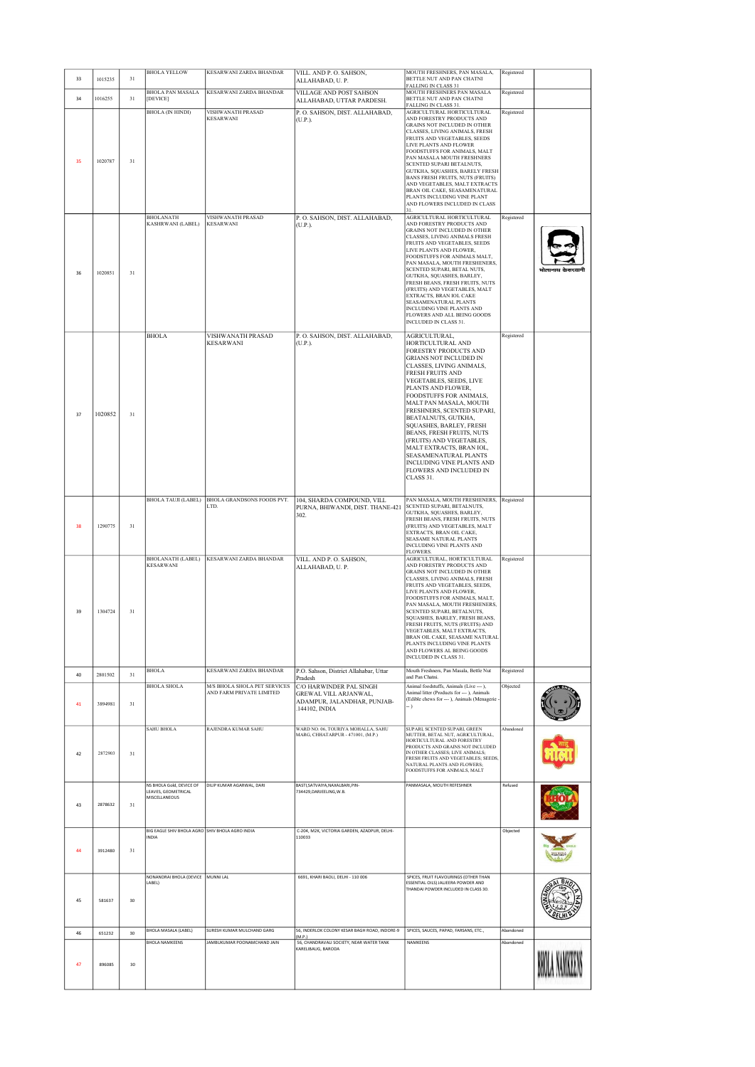| 33 | 1015235 | 31 | <b>BHOLA YELLOW</b>                                                     | KESARWANI ZARDA BHANDAR                                  | VILL. AND P. O. SAHSON,<br>ALLAHABAD, U.P.                                                        | MOUTH FRESHNERS, PAN MASALA,<br>BETTLE NUT AND PAN CHATNI<br>FALLING IN CLASS 31                                                                                                                                                                                                                                                                                                                                                                                                                                              | Registered |                  |
|----|---------|----|-------------------------------------------------------------------------|----------------------------------------------------------|---------------------------------------------------------------------------------------------------|-------------------------------------------------------------------------------------------------------------------------------------------------------------------------------------------------------------------------------------------------------------------------------------------------------------------------------------------------------------------------------------------------------------------------------------------------------------------------------------------------------------------------------|------------|------------------|
| 34 | 1016255 | 31 | <b>BHOLA PAN MASALA</b><br>[DEVICE]                                     | KESARWANI ZARDA BHANDAR                                  | VILLAGE AND POST SAHSON<br>ALLAHABAD, UTTAR PARDESH.                                              | MOUTH FRESHNERS PAN MASALA<br>BETTLE NUT AND PAN CHATNI<br>FALLING IN CLASS 31.                                                                                                                                                                                                                                                                                                                                                                                                                                               | Registered |                  |
| 35 | 1020787 | 31 | <b>BHOLA (IN HINDI)</b>                                                 | VISHWANATH PRASAD<br><b>KESARWANI</b>                    | P. O. SAHSON, DIST. ALLAHABAD,<br>(U.P.).                                                         | AGRICULTURAL HORTICULTURAL<br>AND FORESTRY PRODUCTS AND<br>GRAINS NOT INCLUDED IN OTHER<br>CLASSES, LIVING ANIMALS, FRESH<br>FRUITS AND VEGETABLES, SEEDS<br>LIVE PLANTS AND FLOWER<br>FOODSTUFFS FOR ANIMALS, MALT<br>PAN MASALA MOUTH FRESHNERS<br>SCENTED SUPARI BETALNUTS,<br>GUTKHA, SQUASHES, BARELY FRESH<br>BANS FRESH FRUITS, NUTS (FRUITS)<br>AND VEGETABLES, MALT EXTRACTS<br>BRAN OIL CAKE, SEASAMENATURAL<br>PLANTS INCLUDING VINE PLANT<br>AND FLOWERS INCLUDED IN CLASS<br>31                                  | Registered |                  |
| 36 | 1020851 | 31 | <b>BHOLANATH</b><br><b>KASHRWANI (LABEL)</b>                            | VISHWANATH PRASAD<br><b>KESARWANI</b>                    | P. O. SAHSON, DIST. ALLAHABAD,<br>(U.P.).                                                         | AGRICULTURAL HORTICULTURAL<br>AND FORESTRY PRODUCTS AND<br>GRAINS NOT INCLUDED IN OTHER<br>CLASSES, LIVING ANIMALS FRESH<br>FRUITS AND VEGETABLES, SEEDS<br>LIVE PLANTS AND FLOWER.<br>FOODSTUFFS FOR ANIMALS MALT,<br>PAN MASALA, MOUTH FRESHENERS,<br>SCENTED SUPARI, BETAL NUTS,<br>GUTKHA, SQUASHES, BARLEY,<br>FRESH BEANS, FRESH FRUITS, NUTS<br>(FRUITS) AND VEGETABLES, MALT<br>EXTRACTS, BRAN IOL CAKE<br>SEASAMENATURAL PLANTS<br>INCLUDING VINE PLANTS AND<br>FLOWERS AND ALL BEING GOODS<br>INCLUDED IN CLASS 31. | Registered | भोलानाथ केसरवानी |
| 37 | 1020852 | 31 | <b>BHOLA</b>                                                            | VISHWANATH PRASAD<br><b>KESARWANI</b>                    | P. O. SAHSON, DIST. ALLAHABAD,<br>(U.P.).                                                         | AGRICULTURAL,<br>HORTICULTURAL AND<br>FORESTRY PRODUCTS AND<br>GRIANS NOT INCLUDED IN<br>CLASSES, LIVING ANIMALS,<br><b>FRESH FRUITS AND</b><br><b>VEGETABLES, SEEDS, LIVE</b><br>PLANTS AND FLOWER,<br>FOODSTUFFS FOR ANIMALS,<br>MALT PAN MASALA, MOUTH<br>FRESHNERS, SCENTED SUPARI,<br>BEATALNUTS, GUTKHA,<br>SQUASHES, BARLEY, FRESH<br>BEANS, FRESH FRUITS, NUTS<br>(FRUITS) AND VEGETABLES,<br>MALT EXTRACTS, BRAN IOL,<br>SEASAMENATURAL PLANTS<br>INCLUDING VINE PLANTS AND<br>FLOWERS AND INCLUDED IN<br>CLASS 31.  | Registered |                  |
| 38 | 1290775 | 31 |                                                                         | BHOLA TAUJI (LABEL) BHOLA GRANDSONS FOODS PVT.<br>LTD.   | 104, SHARDA COMPOUND, VILL<br>PURNA, BHIWANDI, DIST. THANE-421<br>302.                            | PAN MASALA, MOUTH FRESHENERS, Registered<br>SCENTED SUPARI, BETALNUTS,<br>GUTKHA, SQUASHES, BARLEY,<br>FRESH BEANS, FRESH FRUITS, NUTS<br>(FRUITS) AND VEGETABLES, MALT<br>EXTRACTS, BRAN OIL CAKE,<br>SEASAME NATURAL PLANTS<br>INCLUDING VINE PLANTS AND<br><b>FLOWERS.</b>                                                                                                                                                                                                                                                 |            |                  |
| 39 | 1304724 | 31 | <b>KESARWANI</b>                                                        | BHOLANATH (LABEL) KESARWANI ZARDA BHANDAR                | VILL. AND P. O. SAHSON,<br>ALLAHABAD, U.P.                                                        | AGRICULTURAL, HORTICULTURAL<br>AND FORESTRY PRODUCTS AND<br>GRAINS NOT INCLUDED IN OTHER<br>CLASSES, LIVING ANIMALS, FRESH<br>FRUITS AND VEGETABLES, SEEDS,<br>LIVE PLANTS AND FLOWER,<br>FOODSTUFFS FOR ANIMALS, MALT,<br>PAN MASALA, MOUTH FRESHENERS,<br>SCENTED SUPARI, BETALNUTS,<br>SQUASHES, BARLEY, FRESH BEANS,<br>FRESH FRUITS, NUTS (FRUITS) AND<br>VEGETABLES, MALT EXTRACTS,<br>BRAN OIL CAKE, SEASAME NATURAL<br>PLANTS INCLUDING VINE PLANTS<br>AND FLOWERS AL BEING GOODS<br><b>INCLUDED IN CLASS 31.</b>     | Registered |                  |
| 40 | 2801502 | 31 | <b>BHOLA</b>                                                            | KESARWANI ZARDA BHANDAR                                  | P.O. Sahson, District Allahabar, Uttar<br>Pradesh                                                 | Mouth Freshners, Pan Masala, Bettle Nut<br>and Pan Chatni.                                                                                                                                                                                                                                                                                                                                                                                                                                                                    | Registered |                  |
| 41 | 3894981 | 31 | <b>BHOLA SHOLA</b>                                                      | M/S BHOLA SHOLA PET SERVICES<br>AND FARM PRIVATE LIMITED | C/O HARWINDER PAL SINGH<br>GREWAL VILL ARJANWAL,<br>ADAMPUR, JALANDHAR, PUNJAB-<br>.144102, INDIA | Animal foodstuffs, Animals (Live --- ),<br>Animal litter (Products for --- ). Animals<br>(Edible chews for --- ), Animals (Menagerie<br>- )                                                                                                                                                                                                                                                                                                                                                                                   | Objected   |                  |
| 42 | 2872903 | 31 | <b>SAHU BHOLA</b>                                                       | RAJENDRA KUMAR SAHU                                      | WARD NO. 06, TOURIYA MOHALLA, SAHU<br>MARG, CHHATARPUR - 471001, (M.P.)                           | SUPARI, SCENTED SUPARI, GREEN<br>MUTTER, BETAL NUT, AGRICULTURAL,<br>HORTICULTURAL AND FORESTRY<br>PRODUCTS AND GRAINS NOT INCLUDED<br>IN OTHER CLASSES; LIVE ANIMALS;<br>FRESH FRUITS AND VEGETABLES; SEEDS<br>NATURAL PLANTS AND FLOWERS;<br>FOODSTUFFS FOR ANIMALS, MALT                                                                                                                                                                                                                                                   | Abandoned  |                  |
| 43 | 2878632 | 31 | NS BHOLA Gold, DEVICE OF<br><b>I FAVES GEOMETRICAL</b><br>MISCELLANEOUS | DILIP KUMAR AGARWAL, DARI                                | BASTI, SATVAIYA, NAXALBARI, PIN-<br>734429.DARJEELING.W.B.                                        | PANMASALA, MOUTH REFESHNER                                                                                                                                                                                                                                                                                                                                                                                                                                                                                                    | Refused    |                  |
| 44 | 3912480 | 31 | BIG EAGLE SHIV BHOLA AGRO SHIV BHOLA AGRO INDIA<br><b>INDIA</b>         |                                                          | C-204, M2K, VICTORIA GARDEN, AZADPUR, DELHI-<br>110033                                            |                                                                                                                                                                                                                                                                                                                                                                                                                                                                                                                               | Objected   |                  |
| 45 | 581637  | 30 | NONANDRAI BHOLA (DEVICE<br>LABEL)                                       | MUNNI LAL                                                | 6691, KHARI BAOLI, DELHI - 110 006                                                                | SPICES, FRUIT FLAVOURINGS (OTHER THAN<br>ESSENTIAL OILS) JALIEERA POWDER AND<br>THANDAI POWDER INCLUDED IN CLASS 30.                                                                                                                                                                                                                                                                                                                                                                                                          |            |                  |
| 46 | 651232  | 30 | <b>BHOLA MASALA (LABEL)</b>                                             | SURESH KUMAR MULCHAND GARG                               | 56. INDERLOK COLONY KESAR BAGH ROAD. INDORE-9<br>(M.P.)                                           | SPICES, SAUCES, PAPAD, FARSANS, ETC.,                                                                                                                                                                                                                                                                                                                                                                                                                                                                                         | Abandoned  |                  |
| 47 | 896085  | 30 | <b>BHOLA NAMKEENS</b>                                                   | JAMBUKUMAR POONAMCHAND JAIN                              | 56, CHANDRAVALI SOCIETY, NEAR WATER TANK<br>KARELIBAUG, BARODA                                    | NAMKEENS                                                                                                                                                                                                                                                                                                                                                                                                                                                                                                                      | Abandoned  |                  |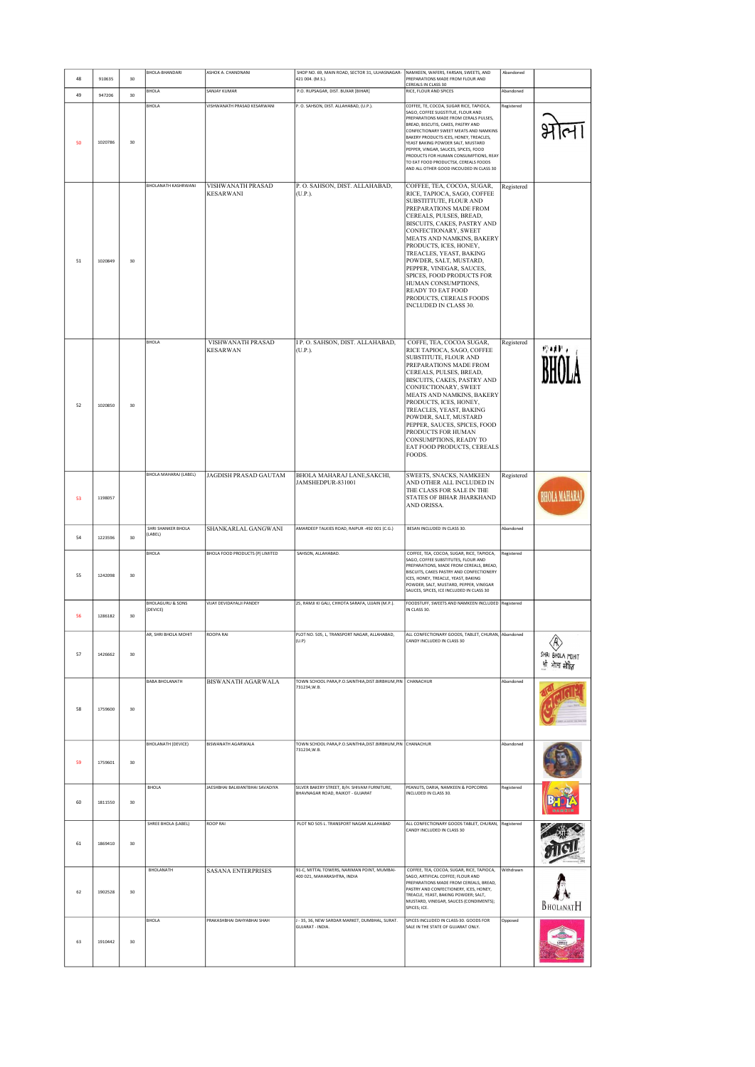| 48 | 910635  | 30 | BHOLA-BHANDARI                          | ASHOK A. CHANDNANI                           | SHOP NO. 69, MAIN ROAD, SECTOR 31, ULHASNAGAR-<br>421 004. (M.S.).               | NAMKEEN, WAFERS, FARSAN, SWEETS, AND<br>PREPARATIONS MADE FROM FLOUR AND                                                                                                                                                                                                                                                                                                                                                                                             | Abandoned  |                        |
|----|---------|----|-----------------------------------------|----------------------------------------------|----------------------------------------------------------------------------------|----------------------------------------------------------------------------------------------------------------------------------------------------------------------------------------------------------------------------------------------------------------------------------------------------------------------------------------------------------------------------------------------------------------------------------------------------------------------|------------|------------------------|
|    |         |    | <b>BHOLA</b>                            | SANJAY KUMAR                                 | P.O. RUPSAGAR, DIST. BUXAR [BIHAR]                                               | CEREALS IN CLASS 30<br>RICE. FLOUR AND SPICES                                                                                                                                                                                                                                                                                                                                                                                                                        | Abandoned  |                        |
| 49 | 947206  | 30 |                                         |                                              |                                                                                  |                                                                                                                                                                                                                                                                                                                                                                                                                                                                      |            |                        |
| 50 | 1020786 | 30 | BHOLA                                   | VISHWANATH PRASAD KESARWANI                  | P. O. SAHSON, DIST. ALLAHABAD, (U.P.).                                           | COFFEE, TE, COCOA, SUGAR RICE, TAPIOCA,<br>SAGO, COFFEE SUGSTITUE, FLOUR AND<br>PREPARATIONS MADE FROM CERALS PULSES,<br>BREAD, BISCUTIS, CAKES, PASTRY AND<br>CONFECTIONARY SWEET MEATS AND NAMKINS<br>BAKERY PRODUCTS ICES, HONEY, TREACLES,<br>YEAST BAKING POWDER SALT, MUSTARD<br>PEPPER, VINGAR, SAUCES, SPICES, FOOD<br>PRODUCTS FOR HUMAN CONSUMPTIONS. REAY<br>TO EAT FOOD PRODUCTSX, CEREALS FOODS<br>AND ALL OTHER GOOD INCOUDED IN CLASS 30              | Registered |                        |
| 51 | 1020849 | 30 | <b>BHOLANATH KASHRWANI</b>              | <b>VISHWANATH PRASAD</b><br><b>KESARWANI</b> | P. O. SAHSON, DIST. ALLAHABAD,<br>(U.P.).                                        | COFFEE, TEA, COCOA, SUGAR,<br>RICE, TAPIOCA, SAGO, COFFEE<br>SUBSTITTUTE, FLOUR AND<br>PREPARATIONS MADE FROM<br>CEREALS, PULSES, BREAD,<br>BISCUITS, CAKES, PASTRY AND<br>CONFECTIONARY, SWEET<br>MEATS AND NAMKINS, BAKERY<br>PRODUCTS, ICES, HONEY,<br>TREACLES, YEAST, BAKING<br>POWDER, SALT, MUSTARD,<br>PEPPER, VINEGAR, SAUCES,<br>SPICES, FOOD PRODUCTS FOR<br>HUMAN CONSUMPTIONS,<br>READY TO EAT FOOD<br>PRODUCTS, CEREALS FOODS<br>INCLUDED IN CLASS 30. | Registered |                        |
| 52 | 1020850 | 30 | <b>BHOLA</b>                            | VISHWANATH PRASAD<br><b>KESARWAN</b>         | I P. O. SAHSON, DIST. ALLAHABAD,<br>(U.P.).                                      | COFFE, TEA, COCOA SUGAR,<br>RICE TAPIOCA, SAGO, COFFEE<br>SUBSTITUTE, FLOUR AND<br>PREPARATIONS MADE FROM<br>CEREALS, PULSES, BREAD,<br>BISCUITS, CAKES, PASTRY AND<br>CONFECTIONARY, SWEET<br>MEATS AND NAMKINS, BAKERY<br>PRODUCTS, ICES, HONEY,<br>TREACLES, YEAST, BAKING<br>POWDER, SALT, MUSTARD<br>PEPPER, SAUCES, SPICES, FOOD<br>PRODUCTS FOR HUMAN<br>CONSUMPTIONS, READY TO<br>EAT FOOD PRODUCTS, CEREALS<br>FOODS.                                       | Registered | n 11 .                 |
| 53 | 1198057 |    | BHOLA MAHARAJ (LABEL)                   | JAGDISH PRASAD GAUTAM                        | BHOLA MAHARAJ LANE, SAKCHI,<br>JAMSHEDPUR-831001                                 | SWEETS, SNACKS, NAMKEEN<br>AND OTHER ALL INCLUDED IN<br>THE CLASS FOR SALE IN THE<br>STATES OF BIHAR JHARKHAND<br>AND ORISSA.                                                                                                                                                                                                                                                                                                                                        | Registered |                        |
|    |         |    | SHRI SHANKER BHOLA<br>(LABEL)           | SHANKARLAL GANGWANI                          | AMARDEEP TALKIES ROAD, RAIPUR -492 001 (C.G.)                                    | BESAN INCLUDED IN CLASS 30.                                                                                                                                                                                                                                                                                                                                                                                                                                          | Abandoned  |                        |
| 54 | 1223596 | 30 | BHOLA                                   | BHOLA FOOD PRODUCTS (P) LIMITED              | SAHSON, ALLAHABAD.                                                               | COFFEE, TEA, COCOA, SUGAR, RICE, TAPIOCA,                                                                                                                                                                                                                                                                                                                                                                                                                            | Registered |                        |
| 55 | 1242098 | 30 |                                         |                                              |                                                                                  | SAGO, COFFEE SUBSTITUTES, FLOUR AND<br>PREPARATIONS, MADE FROM CEREALS, BREAD,<br>BISCUITS, CAKES PASTRY AND CONFECTIONERY<br>ICES, HONEY, TREACLE, YEAST, BAKING<br>POWDER, SALT, MUSTARD, PEPPER, VINEGAR<br>SAUCES, SPICES, ICE INCLUDED IN CLASS 30                                                                                                                                                                                                              |            |                        |
| 56 | 1286182 | 30 | <b>BHOLAGURU &amp; SONS</b><br>(DEVICE) | VIJAY DEVIDAYALJI PANDEY                     | 25, RAMJI KI GALI, CHHOTA SARAFA, UJJAIN (M.P.).                                 | FOODSTUFF, SWEETS AND NAMKEEN INCLUDED Registered<br>IN CLASS 30.                                                                                                                                                                                                                                                                                                                                                                                                    |            |                        |
| 57 | 1426662 | 30 |                                         | <b>ROOPA RAI</b>                             | PLOT NO. 505, L, TRANSPORT NAGAR, ALLAHABAD,<br>(U.P)                            | ALL CONFECTIONARY GOODS, TABLET, CHURAN, Abandoned<br>CANDY INCLUDED IN CLASS 30                                                                                                                                                                                                                                                                                                                                                                                     |            | Ŕ,<br>SHRI BHOLA MOHIT |
|    |         |    |                                         |                                              |                                                                                  |                                                                                                                                                                                                                                                                                                                                                                                                                                                                      |            |                        |
| 58 | 1759600 | 30 | <b>BABA BHOLANATH</b>                   | <b>BISWANATH AGARWALA</b>                    | TOWN SCHOOL PARA, P.O.SAINTHIA, DIST.BIRBHUM, PIN   CHANACHUR<br>731234, W.B.    |                                                                                                                                                                                                                                                                                                                                                                                                                                                                      | Abandoned  |                        |
| 59 | 1759601 | 30 | <b>BHOLANATH (DEVICE)</b>               | <b>BISWANATH AGARWALA</b>                    | TOWN SCHOOL PARA, P.O.SAINTHIA, DIST.BIRBHUM, PIN CHANACHUR<br>731234, W.B.      |                                                                                                                                                                                                                                                                                                                                                                                                                                                                      | Abandoned  |                        |
| 60 | 1811550 | 30 | <b>BHOLA</b>                            | JAESHBHAI BALWANTBHAI SAVADIYA               | SILVER BAKERY STREET, B/H. SHIVAM FURNITURE,<br>BHAVNAGAR ROAD, RAJKOT - GUJARAT | PEANUTS, DARIA, NAMKEEN & POPCORNS<br>INCLUDED IN CLASS 30.                                                                                                                                                                                                                                                                                                                                                                                                          | Registered |                        |
| 61 | 1869410 | 30 | SHREE BHOLA (LABEL)                     | <b>ROOP RAI</b>                              | PLOT NO 505 L. TRANSPORT NAGAR ALLAHABAD                                         | ALL CONFECTIONARY GOODS TABLET, CHURAN, Registered<br>CANDY INCLUDED IN CLASS 30                                                                                                                                                                                                                                                                                                                                                                                     |            |                        |
| 62 | 1902528 | 30 | BHOLANATH                               | <b>SASANA ENTERPRISES</b>                    | 91-C, MITTAL TOWERS, NARIMAN POINT, MUMBAI-<br>400 021, MAHARASHTRA, INDIA       | COFFEE, TEA, COCOA, SUGAR, RICE, TAPIOCA,<br>SAGO, ARTIFICAL COFFEE; FLOUR AND<br>PREPARATIONS MADE FROM CEREALS, BREAD,<br>PASTRY AND CONFECTIONERY, ICES, HONEY,<br>TREACLE, YEAST, BAKING POWDER; SALT,<br>MUSTARD, VINEGAR, SAUCES (CONDIMENTS);<br>SPICES; ICE.                                                                                                                                                                                                 | Withdrawn  | BHOLANATH              |
| 63 | 1910442 | 30 | <b>BHOLA</b>                            | PRAKASHBHAI DAHYABHAI SHAH                   | J - 35, 36, NEW SARDAR MARKET, DUMBHAL, SURAT.<br><b>GUJARAT - INDIA.</b>        | SPICES INCLUDED IN CLASS-30. GOODS FOR<br>SALE IN THE STATE OF GUJARAT ONLY.                                                                                                                                                                                                                                                                                                                                                                                         | Opposed    |                        |